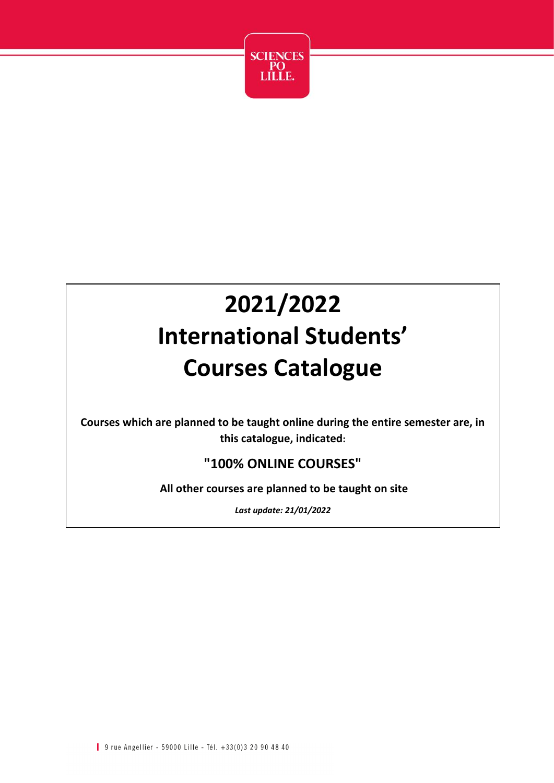

# **2021/2022 International Students' Courses Catalogue**

**Courses which are planned to be taught online during the entire semester are, in this catalogue, indicated:**

#### **"100% ONLINE COURSES"**

**All other courses are planned to be taught on site**

*Last update: 21/01/2022*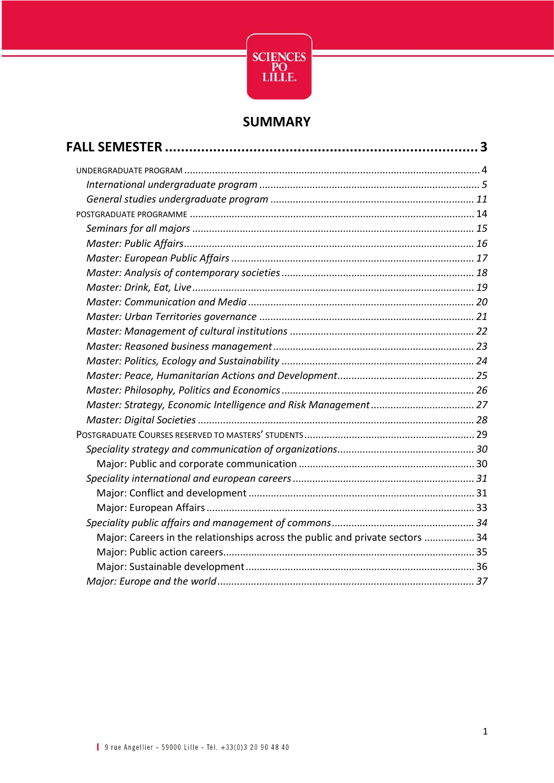

#### **SUMMARY**

| Major: Careers in the relationships across the public and private sectors  34 |  |
|-------------------------------------------------------------------------------|--|
|                                                                               |  |
|                                                                               |  |
|                                                                               |  |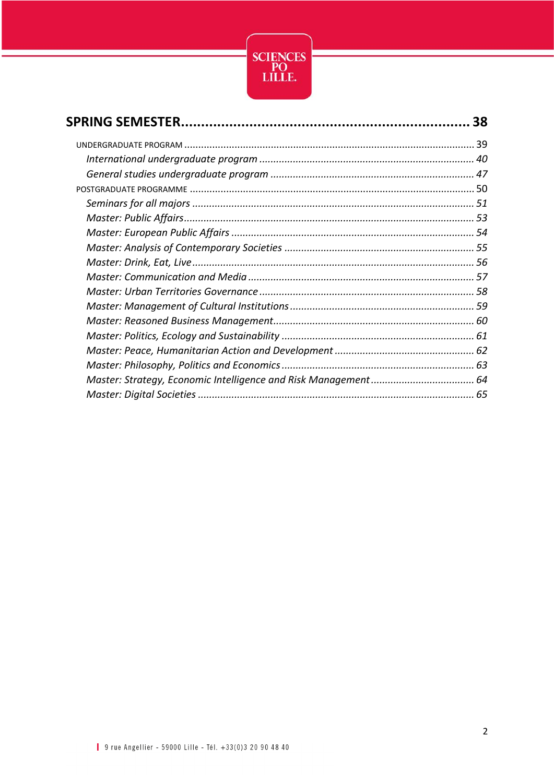

| 38 |
|----|
|    |
|    |
|    |
|    |
|    |
|    |
|    |
|    |
|    |
|    |
|    |
|    |
|    |
|    |
|    |
|    |
|    |
|    |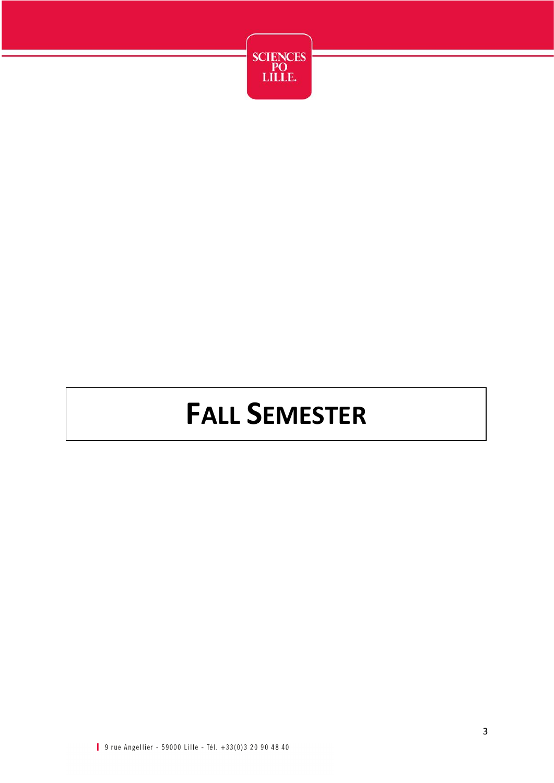

# **FALL SEMESTER**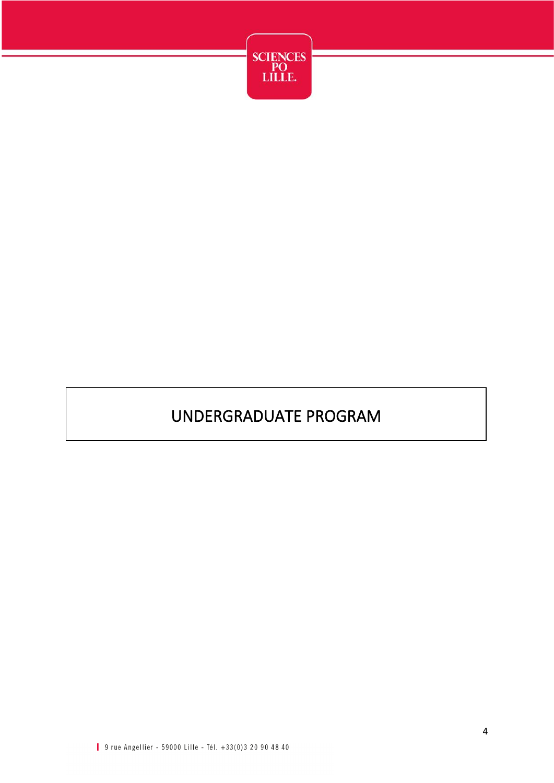

## UNDERGRADUATE PROGRAM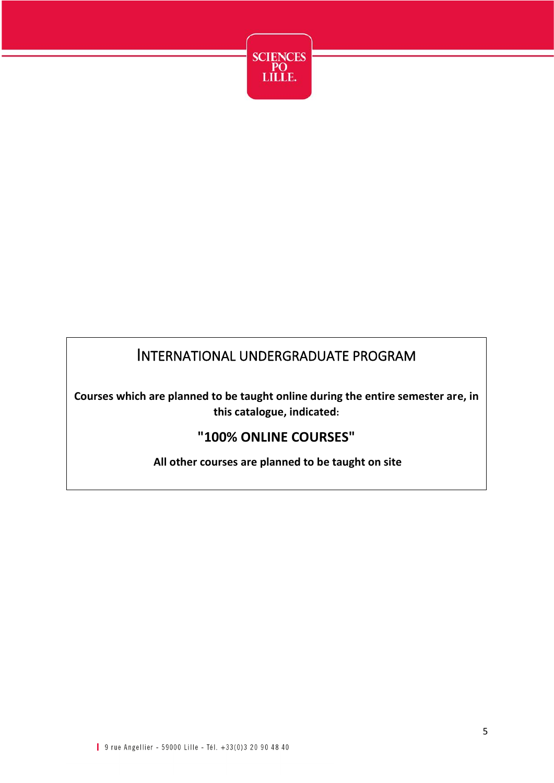

#### INTERNATIONAL UNDERGRADUATE PROGRAM

**Courses which are planned to be taught online during the entire semester are, in this catalogue, indicated:**

#### **"100% ONLINE COURSES"**

**All other courses are planned to be taught on site**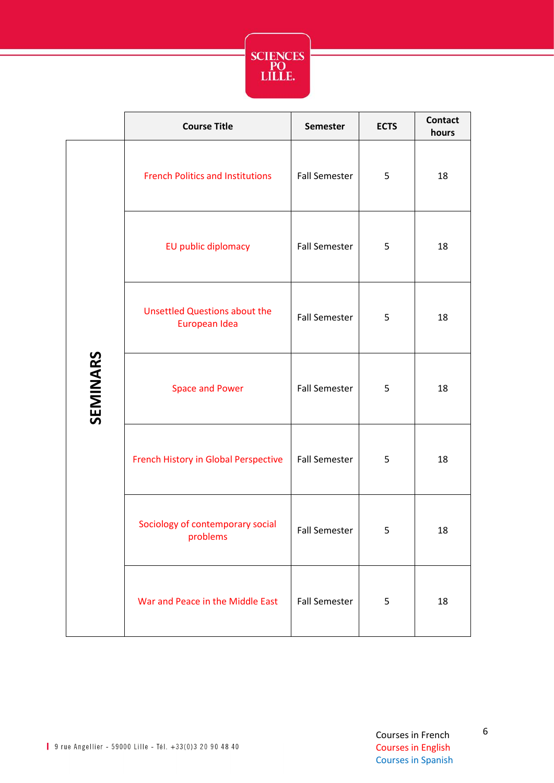

|          | <b>Course Title</b>                                   | <b>Semester</b>      | <b>ECTS</b> | <b>Contact</b><br>hours |
|----------|-------------------------------------------------------|----------------------|-------------|-------------------------|
| SEMINARS | <b>French Politics and Institutions</b>               | <b>Fall Semester</b> | 5           | 18                      |
|          | EU public diplomacy                                   | <b>Fall Semester</b> | 5           | 18                      |
|          | <b>Unsettled Questions about the</b><br>European Idea | <b>Fall Semester</b> | 5           | 18                      |
|          | <b>Space and Power</b>                                | <b>Fall Semester</b> | 5           | 18                      |
|          | French History in Global Perspective                  | <b>Fall Semester</b> | 5           | 18                      |
|          | Sociology of contemporary social<br>problems          | <b>Fall Semester</b> | 5           | 18                      |
|          | War and Peace in the Middle East                      | <b>Fall Semester</b> | 5           | 18                      |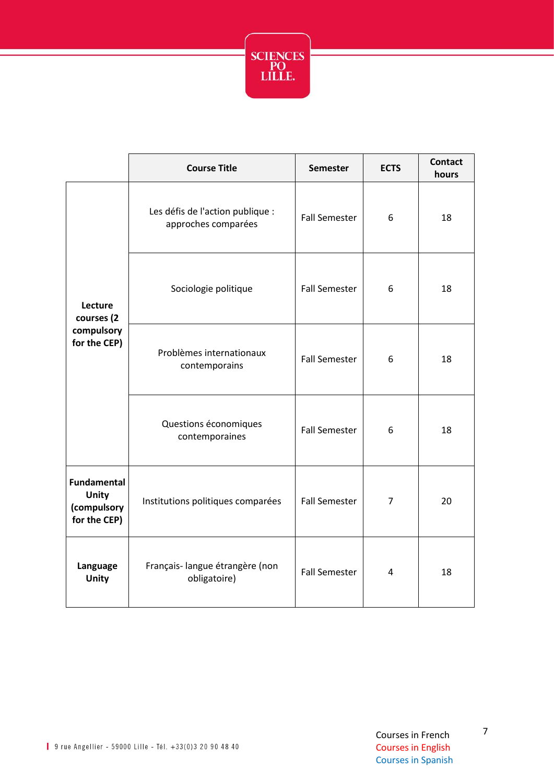

|                                                                   | <b>Course Title</b>                                     | <b>Semester</b>      | <b>ECTS</b>    | <b>Contact</b><br>hours |
|-------------------------------------------------------------------|---------------------------------------------------------|----------------------|----------------|-------------------------|
| Lecture<br>courses (2<br>compulsory<br>for the CEP)               | Les défis de l'action publique :<br>approches comparées | <b>Fall Semester</b> | 6              | 18                      |
|                                                                   | Sociologie politique                                    | <b>Fall Semester</b> | 6              | 18                      |
|                                                                   | Problèmes internationaux<br>contemporains               | <b>Fall Semester</b> | 6              | 18                      |
|                                                                   | Questions économiques<br>contemporaines                 | <b>Fall Semester</b> | 6              | 18                      |
| <b>Fundamental</b><br><b>Unity</b><br>(compulsory<br>for the CEP) | Institutions politiques comparées                       | <b>Fall Semester</b> | $\overline{7}$ | 20                      |
| Language<br><b>Unity</b>                                          | Français-langue étrangère (non<br>obligatoire)          | <b>Fall Semester</b> | 4              | 18                      |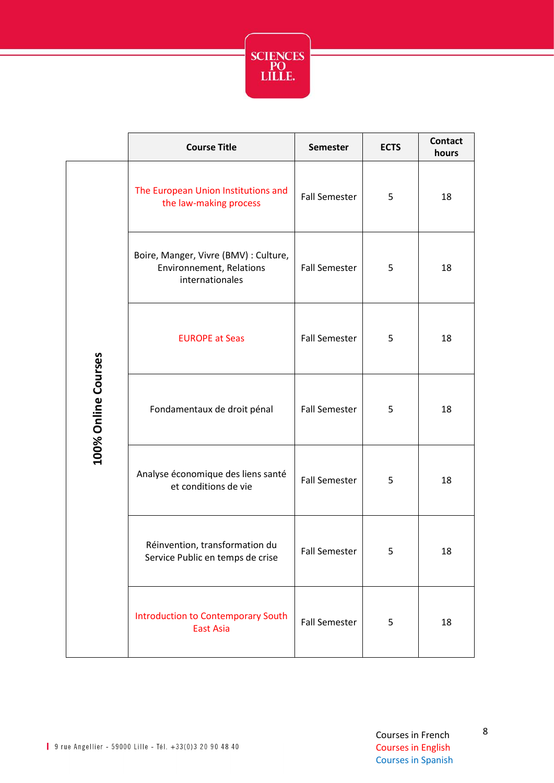

|                     | <b>Course Title</b>                                                                  | <b>Semester</b>      | <b>ECTS</b> | <b>Contact</b><br>hours |
|---------------------|--------------------------------------------------------------------------------------|----------------------|-------------|-------------------------|
| 100% Online Courses | The European Union Institutions and<br>the law-making process                        | <b>Fall Semester</b> | 5           | 18                      |
|                     | Boire, Manger, Vivre (BMV) : Culture,<br>Environnement, Relations<br>internationales | <b>Fall Semester</b> | 5           | 18                      |
|                     | <b>EUROPE at Seas</b>                                                                | <b>Fall Semester</b> | 5           | 18                      |
|                     | Fondamentaux de droit pénal                                                          | <b>Fall Semester</b> | 5           | 18                      |
|                     | Analyse économique des liens santé<br>et conditions de vie                           | <b>Fall Semester</b> | 5           | 18                      |
|                     | Réinvention, transformation du<br>Service Public en temps de crise                   | <b>Fall Semester</b> | 5           | 18                      |
|                     | <b>Introduction to Contemporary South</b><br><b>East Asia</b>                        | <b>Fall Semester</b> | 5           | 18                      |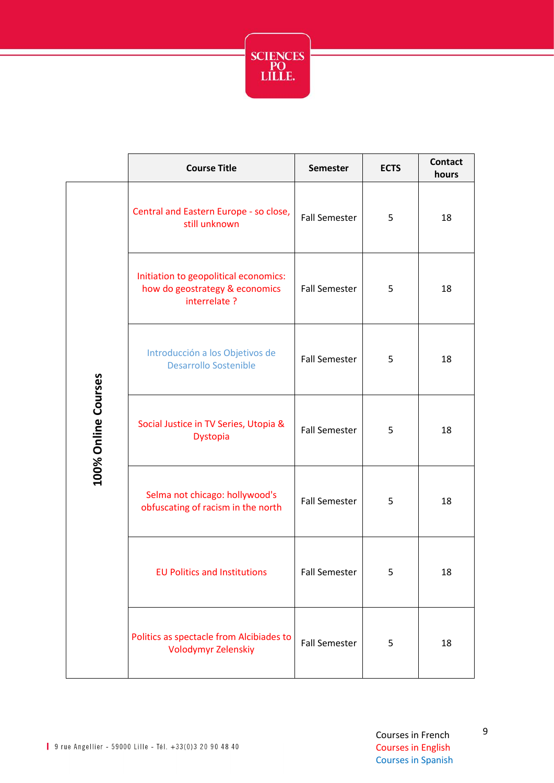

|                     | <b>Course Title</b>                                                                      | <b>Semester</b>      | <b>ECTS</b> | <b>Contact</b><br>hours |
|---------------------|------------------------------------------------------------------------------------------|----------------------|-------------|-------------------------|
| 100% Online Courses | Central and Eastern Europe - so close,<br>still unknown                                  | <b>Fall Semester</b> | 5           | 18                      |
|                     | Initiation to geopolitical economics:<br>how do geostrategy & economics<br>interrelate ? | <b>Fall Semester</b> | 5           | 18                      |
|                     | Introducción a los Objetivos de<br><b>Desarrollo Sostenible</b>                          | <b>Fall Semester</b> | 5           | 18                      |
|                     | Social Justice in TV Series, Utopia &<br>Dystopia                                        | <b>Fall Semester</b> | 5           | 18                      |
|                     | Selma not chicago: hollywood's<br>obfuscating of racism in the north                     | <b>Fall Semester</b> | 5           | 18                      |
|                     | <b>EU Politics and Institutions</b>                                                      | <b>Fall Semester</b> | 5           | 18                      |
|                     | Politics as spectacle from Alcibiades to<br>Volodymyr Zelenskiy                          | <b>Fall Semester</b> | 5           | 18                      |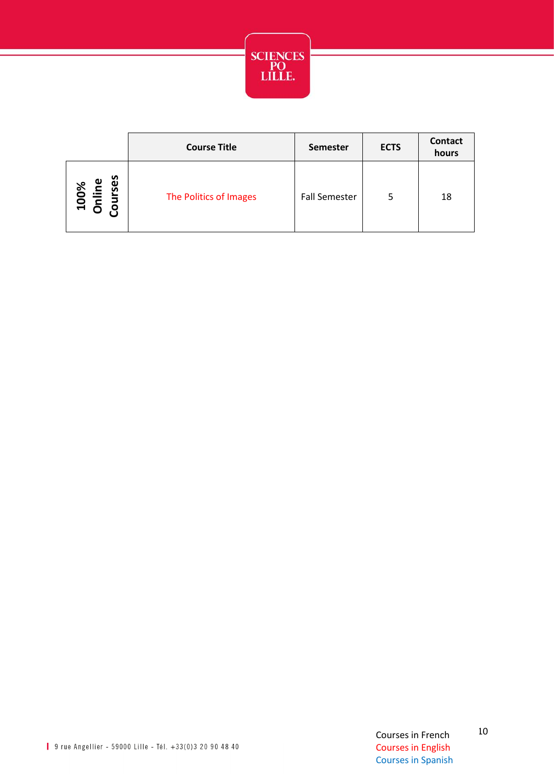

|                                          | <b>Course Title</b>    | <b>Semester</b>      | <b>ECTS</b> | Contact<br>hours |
|------------------------------------------|------------------------|----------------------|-------------|------------------|
| စိ<br>100%<br>Inline<br>purses<br>O<br>ោ | The Politics of Images | <b>Fall Semester</b> | 5           | 18               |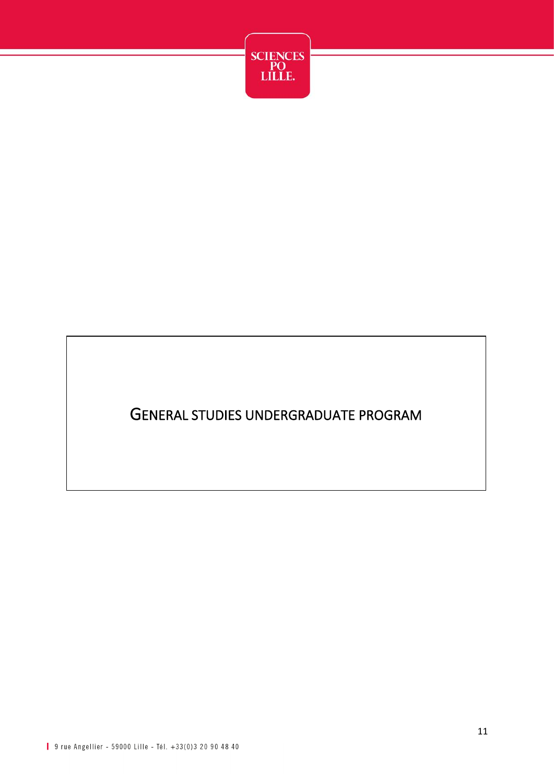

#### GENERAL STUDIES UNDERGRADUATE PROGRAM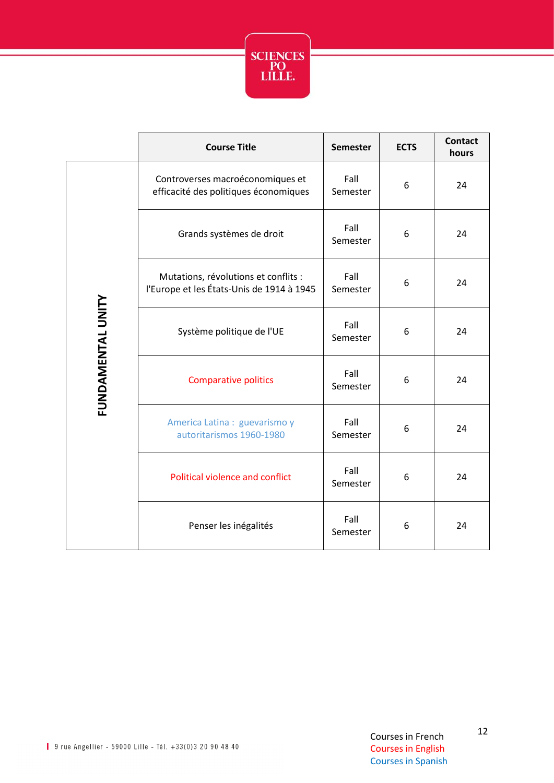

|                   | <b>Course Title</b>                                                               | <b>Semester</b>  | <b>ECTS</b> | <b>Contact</b><br>hours |
|-------------------|-----------------------------------------------------------------------------------|------------------|-------------|-------------------------|
|                   | Controverses macroéconomiques et<br>efficacité des politiques économiques         | Fall<br>Semester | 6           | 24                      |
|                   | Grands systèmes de droit                                                          | Fall<br>Semester | 6           | 24                      |
|                   | Mutations, révolutions et conflits :<br>l'Europe et les États-Unis de 1914 à 1945 | Fall<br>Semester | 6           | 24                      |
| FUNDAMENTAL UNITY | Système politique de l'UE                                                         | Fall<br>Semester | 6           | 24                      |
|                   | <b>Comparative politics</b>                                                       | Fall<br>Semester | 6           | 24                      |
|                   | America Latina: guevarismo y<br>autoritarismos 1960-1980                          | Fall<br>Semester | 6           | 24                      |
|                   | Political violence and conflict                                                   | Fall<br>Semester | 6           | 24                      |
|                   | Penser les inégalités                                                             | Fall<br>Semester | 6           | 24                      |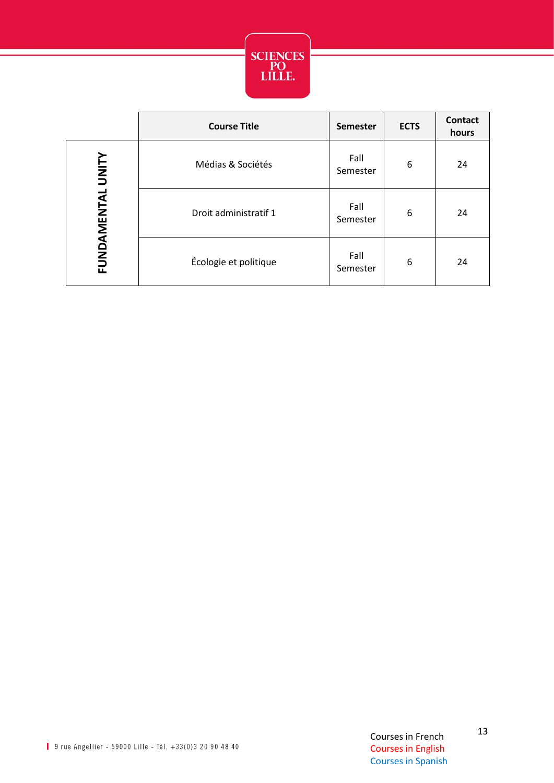

|                   | <b>Course Title</b>   | <b>Semester</b>  | <b>ECTS</b> | <b>Contact</b><br>hours |
|-------------------|-----------------------|------------------|-------------|-------------------------|
| FUNDAMENTAL UNITY | Médias & Sociétés     | Fall<br>Semester | 6           | 24                      |
|                   | Droit administratif 1 | Fall<br>Semester | 6           | 24                      |
|                   | Écologie et politique | Fall<br>Semester | 6           | 24                      |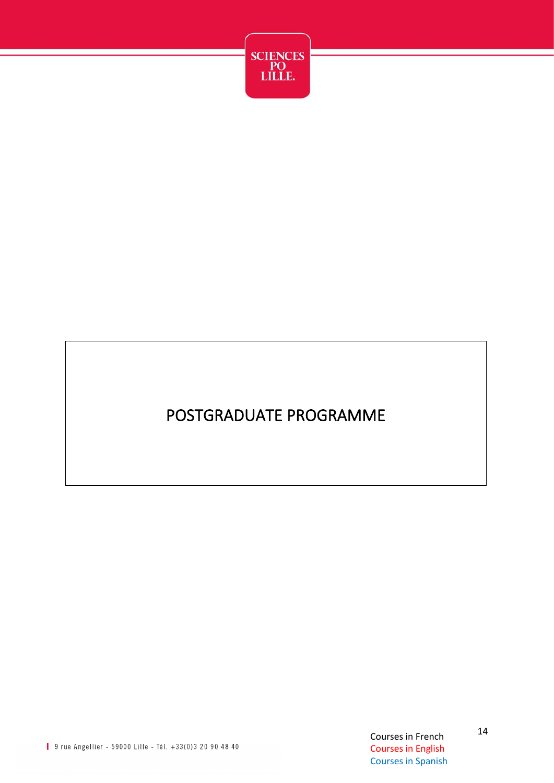

## POSTGRADUATE PROGRAMME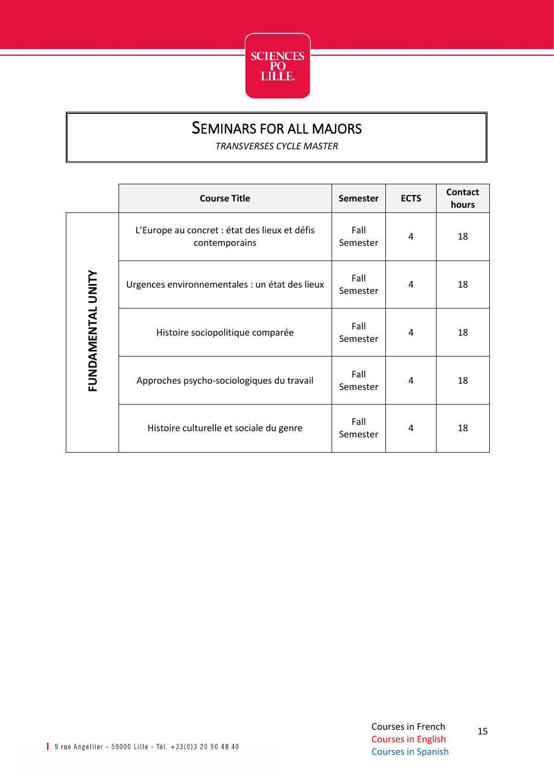

#### SEMINARS FOR ALL MAJORS

*TRANSVERSES CYCLE MASTER*

<span id="page-15-0"></span>

|                   | <b>Course Title</b>                                            | <b>Semester</b>  | <b>ECTS</b> | <b>Contact</b><br>hours |
|-------------------|----------------------------------------------------------------|------------------|-------------|-------------------------|
| FUNDAMENTAL UNITY | L'Europe au concret : état des lieux et défis<br>contemporains | Fall<br>Semester | 4           | 18                      |
|                   | Urgences environnementales : un état des lieux                 | Fall<br>Semester | 4           | 18                      |
|                   | Histoire sociopolitique comparée                               | Fall<br>Semester | 4           | 18                      |
|                   | Approches psycho-sociologiques du travail                      | Fall<br>Semester | 4           | 18                      |
|                   | Histoire culturelle et sociale du genre                        | Fall<br>Semester | 4           | 18                      |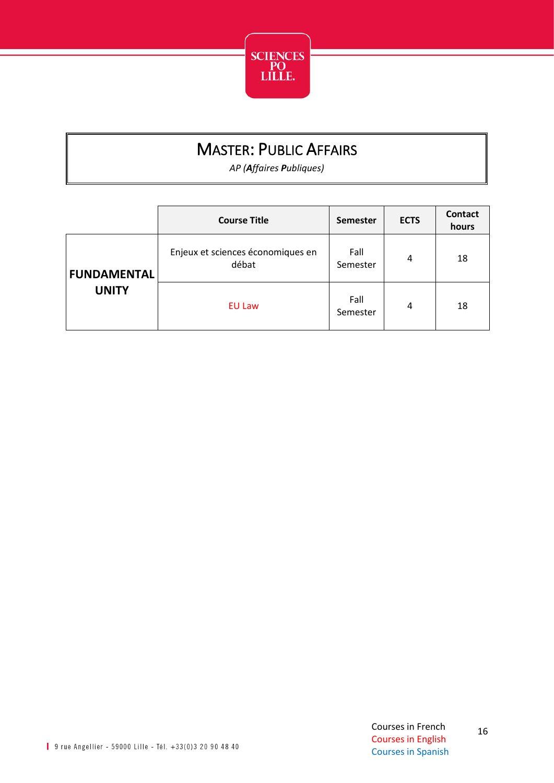

## MASTER: PUBLIC AFFAIRS

*AP (Affaires Publiques)*

<span id="page-16-0"></span>

|                                    | <b>Course Title</b>                        | <b>Semester</b>  | <b>ECTS</b> | <b>Contact</b><br>hours |
|------------------------------------|--------------------------------------------|------------------|-------------|-------------------------|
| <b>FUNDAMENTAL</b><br><b>UNITY</b> | Enjeux et sciences économiques en<br>débat | Fall<br>Semester | 4           | 18                      |
|                                    | <b>EU Law</b>                              | Fall<br>Semester | 4           | 18                      |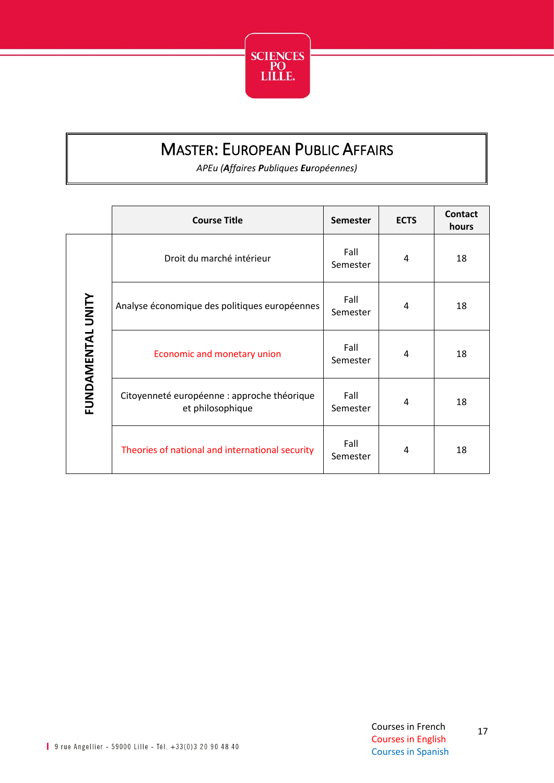

## MASTER: EUROPEAN PUBLIC AFFAIRS

*APEu (Affaires Publiques Européennes)*

<span id="page-17-0"></span>

|                   | <b>Course Title</b>                                             | <b>Semester</b>  | <b>ECTS</b> | <b>Contact</b><br>hours |
|-------------------|-----------------------------------------------------------------|------------------|-------------|-------------------------|
|                   | Droit du marché intérieur                                       | Fall<br>Semester | 4           | 18                      |
|                   | Analyse économique des politiques européennes                   | Fall<br>Semester | 4           | 18                      |
| FUNDAMENTAL UNITY | Economic and monetary union                                     | Fall<br>Semester | 4           | 18                      |
|                   | Citoyenneté européenne : approche théorique<br>et philosophique | Fall<br>Semester | 4           | 18                      |
|                   | Theories of national and international security                 | Fall<br>Semester | 4           | 18                      |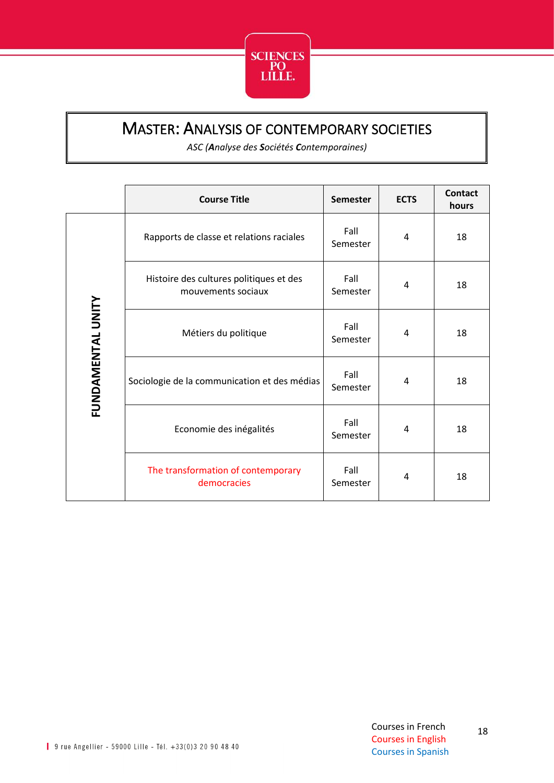

#### <span id="page-18-0"></span>MASTER: ANALYSIS OF CONTEMPORARY SOCIETIES

*ASC (Analyse des Sociétés Contemporaines)*

|                   | <b>Course Title</b>                                           | <b>Semester</b>  | <b>ECTS</b> | <b>Contact</b><br>hours |
|-------------------|---------------------------------------------------------------|------------------|-------------|-------------------------|
| FUNDAMENTAL UNITY | Rapports de classe et relations raciales                      | Fall<br>Semester | 4           | 18                      |
|                   | Histoire des cultures politiques et des<br>mouvements sociaux | Fall<br>Semester | 4           | 18                      |
|                   | Métiers du politique                                          | Fall<br>Semester | 4           | 18                      |
|                   | Sociologie de la communication et des médias                  | Fall<br>Semester | 4           | 18                      |
|                   | Economie des inégalités                                       | Fall<br>Semester | 4           | 18                      |
|                   | The transformation of contemporary<br>democracies             | Fall<br>Semester | 4           | 18                      |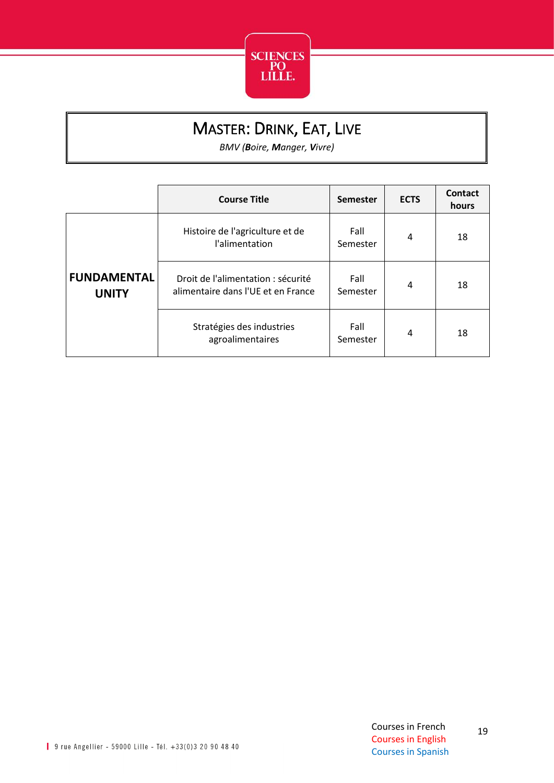

## MASTER: DRINK, EAT, LIVE

*BMV (Boire, Manger, Vivre)*

<span id="page-19-0"></span>

|                                    | <b>Course Title</b>                                                      | <b>Semester</b>  | <b>ECTS</b> | Contact<br>hours |
|------------------------------------|--------------------------------------------------------------------------|------------------|-------------|------------------|
|                                    | Histoire de l'agriculture et de<br>l'alimentation                        | Fall<br>Semester | 4           | 18               |
| <b>FUNDAMENTAL</b><br><b>UNITY</b> | Droit de l'alimentation : sécurité<br>alimentaire dans l'UE et en France | Fall<br>Semester | 4           | 18               |
|                                    | Stratégies des industries<br>agroalimentaires                            | Fall<br>Semester | 4           | 18               |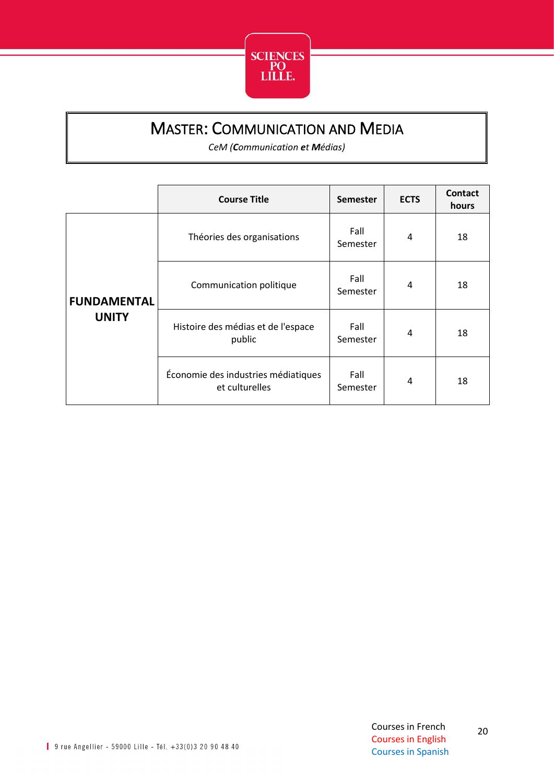

### MASTER: COMMUNICATION AND MEDIA

*CeM (Communication et Médias)*

<span id="page-20-0"></span>

|                    | <b>Course Title</b>                                   | <b>Semester</b>  | <b>ECTS</b> | <b>Contact</b><br>hours |
|--------------------|-------------------------------------------------------|------------------|-------------|-------------------------|
|                    | Théories des organisations                            | Fall<br>Semester | 4           | 18                      |
| <b>FUNDAMENTAL</b> | Communication politique                               | Fall<br>Semester | 4           | 18                      |
| <b>UNITY</b>       | Histoire des médias et de l'espace<br>public          | Fall<br>Semester | 4           | 18                      |
|                    | Économie des industries médiatiques<br>et culturelles | Fall<br>Semester | 4           | 18                      |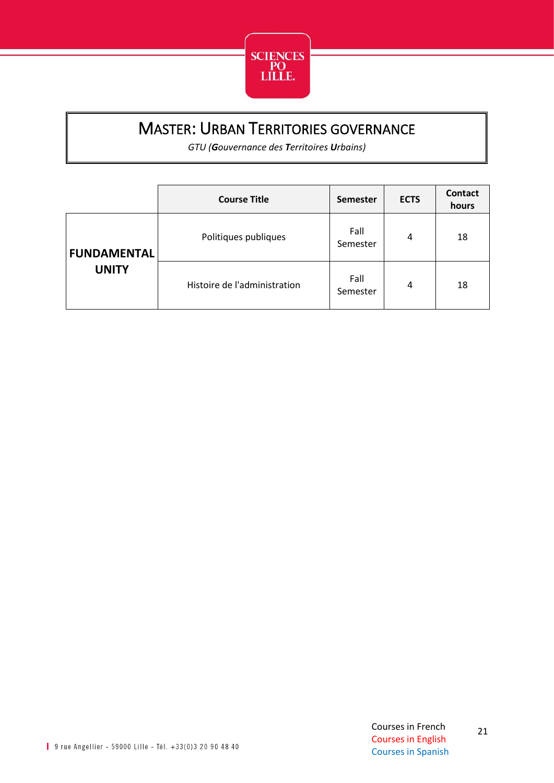

### MASTER: URBAN TERRITORIES GOVERNANCE

*GTU (Gouvernance des Territoires Urbains)*

<span id="page-21-0"></span>

|                                    | <b>Course Title</b>          | <b>Semester</b>  | <b>ECTS</b> | Contact<br>hours |
|------------------------------------|------------------------------|------------------|-------------|------------------|
| <b>FUNDAMENTAL</b><br><b>UNITY</b> | Politiques publiques         | Fall<br>Semester | 4           | 18               |
|                                    | Histoire de l'administration | Fall<br>Semester | 4           | 18               |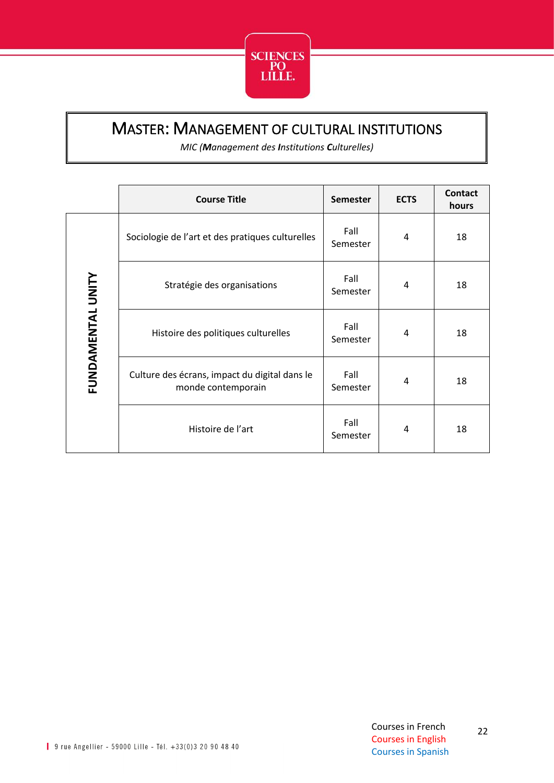

#### <span id="page-22-0"></span>MASTER: MANAGEMENT OF CULTURAL INSTITUTIONS

*MIC (Management des Institutions Culturelles)*

|                   | <b>Course Title</b>                                                 | <b>Semester</b>  | <b>ECTS</b> | Contact<br>hours |
|-------------------|---------------------------------------------------------------------|------------------|-------------|------------------|
|                   | Sociologie de l'art et des pratiques culturelles                    | Fall<br>Semester | 4           | 18               |
| FUNDAMENTAL UNITY | Stratégie des organisations                                         | Fall<br>Semester | 4           | 18               |
|                   | Histoire des politiques culturelles                                 | Fall<br>Semester | 4           | 18               |
|                   | Culture des écrans, impact du digital dans le<br>monde contemporain | Fall<br>Semester | 4           | 18               |
|                   | Histoire de l'art                                                   | Fall<br>Semester | 4           | 18               |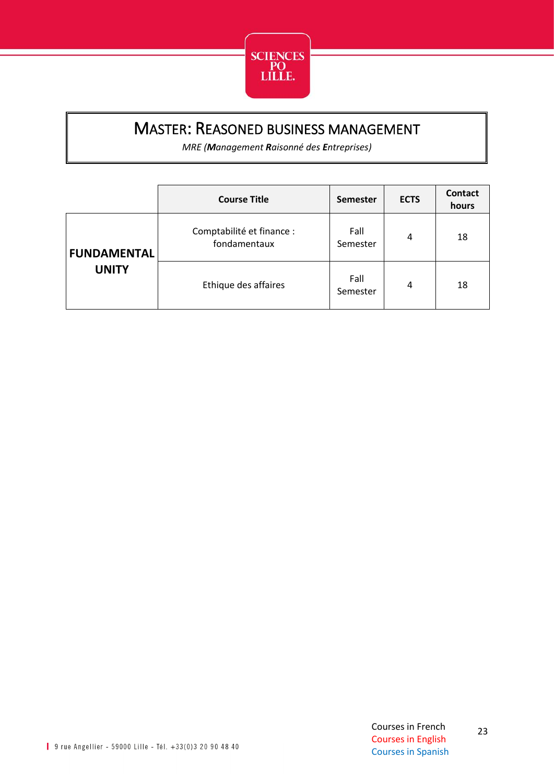

#### <span id="page-23-0"></span>MASTER: REASONED BUSINESS MANAGEMENT

*MRE (Management Raisonné des Entreprises)*

|                    | <b>Course Title</b>                       | <b>Semester</b>  | <b>ECTS</b> | <b>Contact</b><br>hours |
|--------------------|-------------------------------------------|------------------|-------------|-------------------------|
| <b>FUNDAMENTAL</b> | Comptabilité et finance :<br>fondamentaux | Fall<br>Semester | 4           | 18                      |
| <b>UNITY</b>       | Ethique des affaires                      | Fall<br>Semester | 4           | 18                      |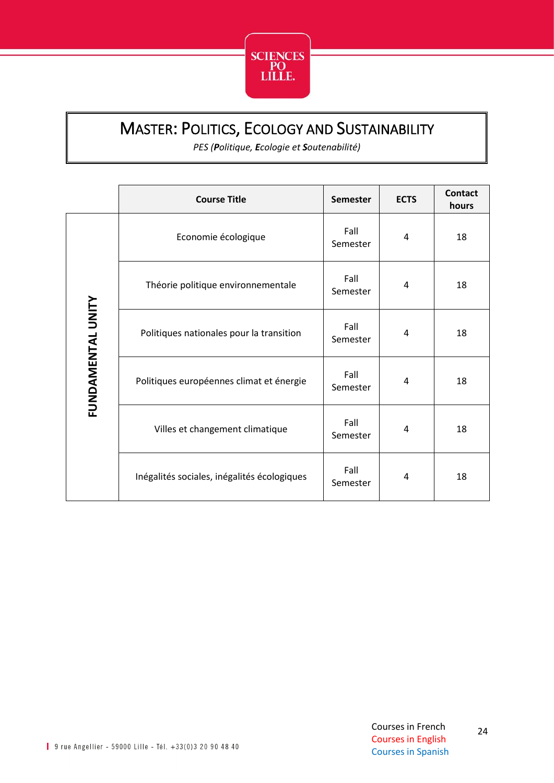

### <span id="page-24-0"></span>MASTER: POLITICS, ECOLOGY AND SUSTAINABILITY

*PES (Politique, Ecologie et Soutenabilité)*

|                   | <b>Course Title</b>                         | <b>Semester</b>  | <b>ECTS</b> | <b>Contact</b><br>hours |
|-------------------|---------------------------------------------|------------------|-------------|-------------------------|
|                   | Economie écologique                         | Fall<br>Semester | 4           | 18                      |
|                   | Théorie politique environnementale          | Fall<br>Semester | 4           | 18                      |
| FUNDAMENTAL UNITY | Politiques nationales pour la transition    | Fall<br>Semester | 4           | 18                      |
|                   | Politiques européennes climat et énergie    | Fall<br>Semester | 4           | 18                      |
|                   | Villes et changement climatique             | Fall<br>Semester | 4           | 18                      |
|                   | Inégalités sociales, inégalités écologiques | Fall<br>Semester | 4           | 18                      |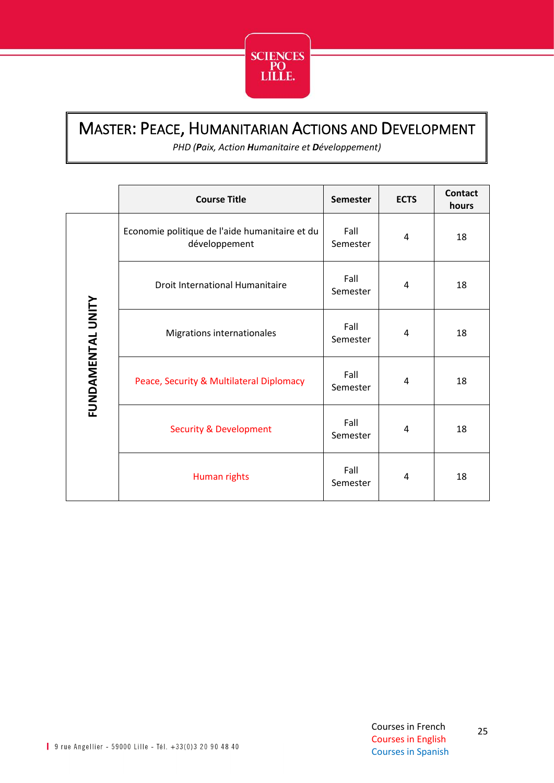

### <span id="page-25-0"></span>MASTER: PEACE, HUMANITARIAN ACTIONS AND DEVELOPMENT

*PHD (Paix, Action Humanitaire et Développement)*

|                   | <b>Course Title</b>                                             | <b>Semester</b>  | <b>ECTS</b> | <b>Contact</b><br>hours |
|-------------------|-----------------------------------------------------------------|------------------|-------------|-------------------------|
| FUNDAMENTAL UNITY | Economie politique de l'aide humanitaire et du<br>développement | Fall<br>Semester | 4           | 18                      |
|                   | <b>Droit International Humanitaire</b>                          | Fall<br>Semester | 4           | 18                      |
|                   | Migrations internationales                                      | Fall<br>Semester | 4           | 18                      |
|                   | Peace, Security & Multilateral Diplomacy                        | Fall<br>Semester | 4           | 18                      |
|                   | <b>Security &amp; Development</b>                               | Fall<br>Semester | 4           | 18                      |
|                   | Human rights                                                    | Fall<br>Semester | 4           | 18                      |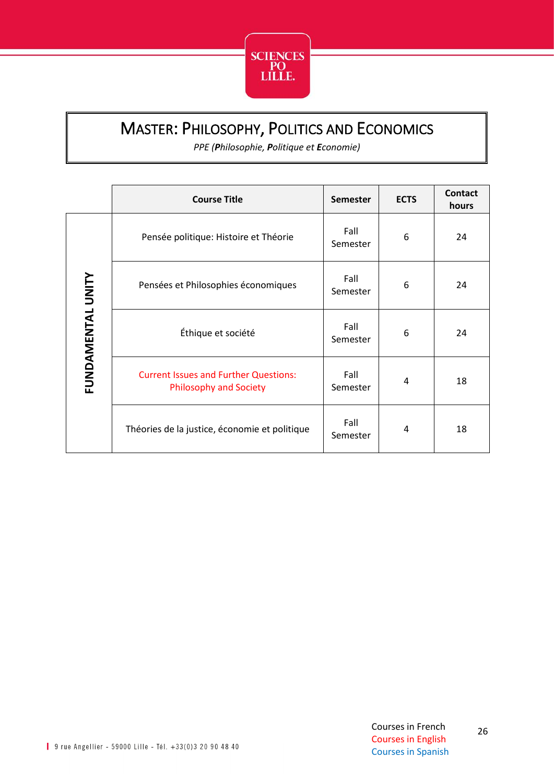

### <span id="page-26-0"></span>MASTER: PHILOSOPHY, POLITICS AND ECONOMICS

*PPE (Philosophie, Politique et Economie)*

|                   | <b>Course Title</b>                                                           | <b>Semester</b>  | <b>ECTS</b> | <b>Contact</b><br>hours |
|-------------------|-------------------------------------------------------------------------------|------------------|-------------|-------------------------|
|                   | Pensée politique: Histoire et Théorie                                         | Fall<br>Semester | 6           | 24                      |
| FUNDAMENTAL UNITY | Pensées et Philosophies économiques                                           | Fall<br>Semester | 6           | 24                      |
|                   | Éthique et société                                                            | Fall<br>Semester | 6           | 24                      |
|                   | <b>Current Issues and Further Questions:</b><br><b>Philosophy and Society</b> | Fall<br>Semester | 4           | 18                      |
|                   | Théories de la justice, économie et politique                                 | Fall<br>Semester | 4           | 18                      |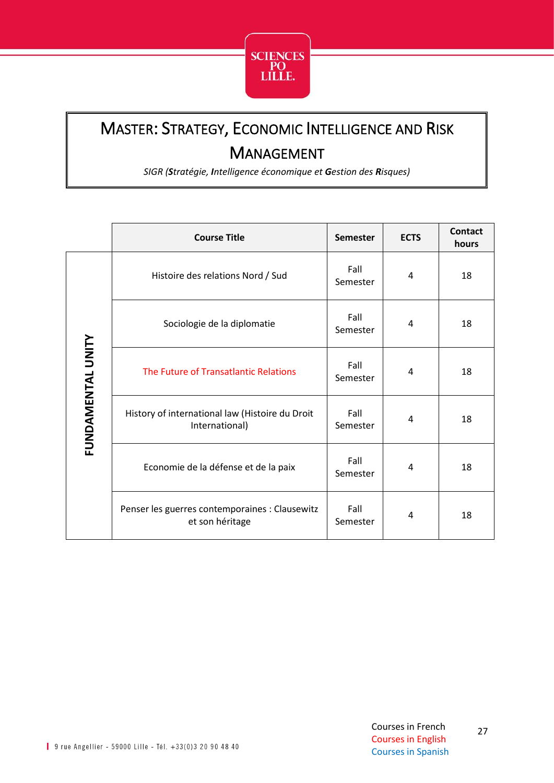

# <span id="page-27-0"></span>MASTER: STRATEGY, ECONOMIC INTELLIGENCE AND RISK MANAGEMENT

*SIGR (Stratégie, Intelligence économique et Gestion des Risques)*

|                          | <b>Course Title</b>                                               | <b>Semester</b>  | <b>ECTS</b> | <b>Contact</b><br>hours |
|--------------------------|-------------------------------------------------------------------|------------------|-------------|-------------------------|
| <b>FUNDAMENTAL UNITY</b> | Histoire des relations Nord / Sud                                 | Fall<br>Semester | 4           | 18                      |
|                          | Sociologie de la diplomatie                                       | Fall<br>Semester | 4           | 18                      |
|                          | The Future of Transatlantic Relations                             | Fall<br>Semester | 4           | 18                      |
|                          | History of international law (Histoire du Droit<br>International) | Fall<br>Semester | 4           | 18                      |
|                          | Economie de la défense et de la paix                              | Fall<br>Semester | 4           | 18                      |
|                          | Penser les guerres contemporaines : Clausewitz<br>et son héritage | Fall<br>Semester | 4           | 18                      |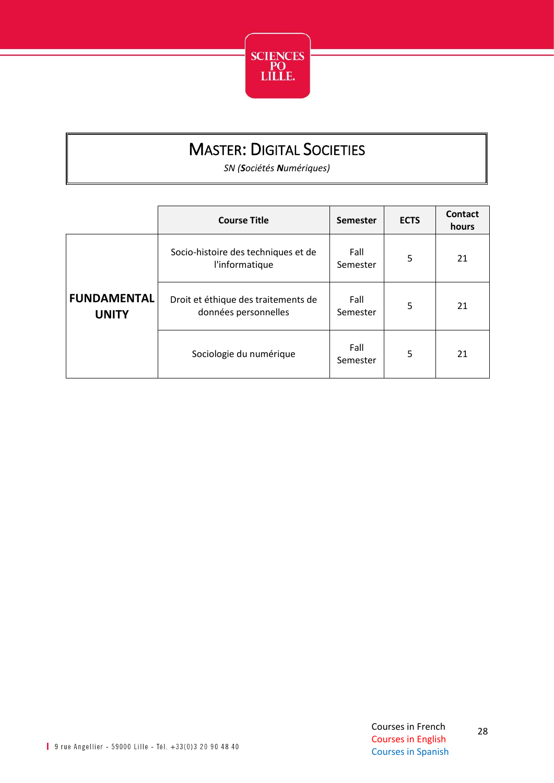

## MASTER: DIGITAL SOCIETIES

*SN (Sociétés Numériques)*

<span id="page-28-0"></span>

|                                    | <b>Course Title</b>                                         | <b>Semester</b>  | <b>ECTS</b> | Contact<br>hours |
|------------------------------------|-------------------------------------------------------------|------------------|-------------|------------------|
|                                    | Socio-histoire des techniques et de<br>l'informatique       | Fall<br>Semester | 5           | 21               |
| <b>FUNDAMENTAL</b><br><b>UNITY</b> | Droit et éthique des traitements de<br>données personnelles | Fall<br>Semester | 5           | 21               |
|                                    | Sociologie du numérique                                     | Fall<br>Semester | 5           | 21               |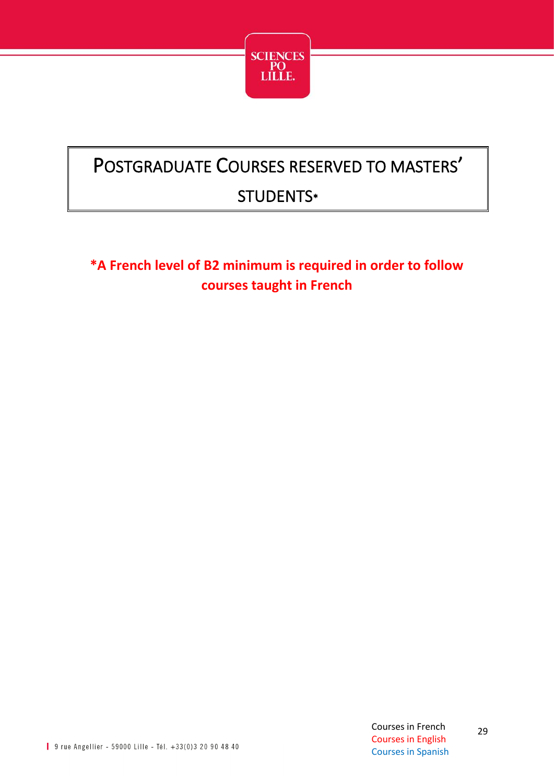

# <span id="page-29-0"></span>POSTGRADUATE COURSES RESERVED TO MASTERS' STUDENTS\*

**\*A French level of B2 minimum is required in order to follow courses taught in French**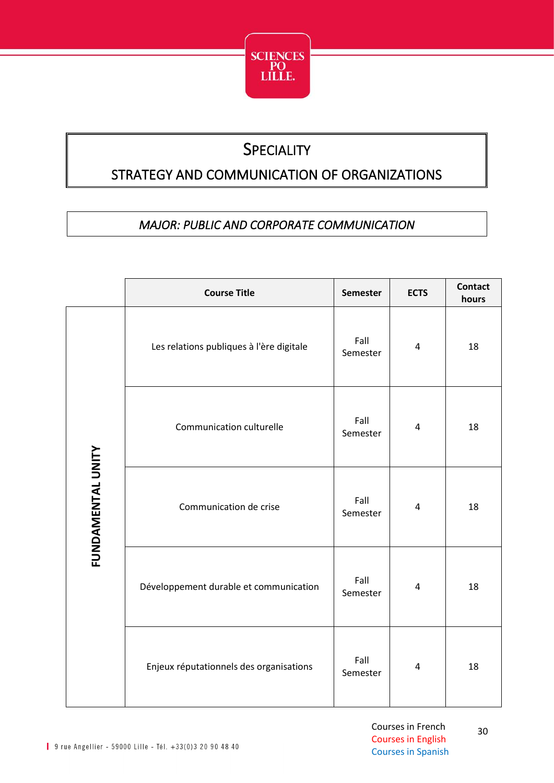

## **SPECIALITY**

#### <span id="page-30-0"></span>STRATEGY AND COMMUNICATION OF ORGANIZATIONS

#### *MAJOR: PUBLIC AND CORPORATE COMMUNICATION*

<span id="page-30-1"></span>

|                   | <b>Course Title</b>                      | Semester         | <b>ECTS</b>    | <b>Contact</b><br>hours |
|-------------------|------------------------------------------|------------------|----------------|-------------------------|
|                   | Les relations publiques à l'ère digitale | Fall<br>Semester | $\overline{4}$ | 18                      |
| FUNDAMENTAL UNITY | Communication culturelle                 | Fall<br>Semester | $\overline{4}$ | 18                      |
|                   | Communication de crise                   | Fall<br>Semester | $\overline{4}$ | 18                      |
|                   | Développement durable et communication   | Fall<br>Semester | $\pmb{4}$      | 18                      |
|                   | Enjeux réputationnels des organisations  | Fall<br>Semester | $\pmb{4}$      | 18                      |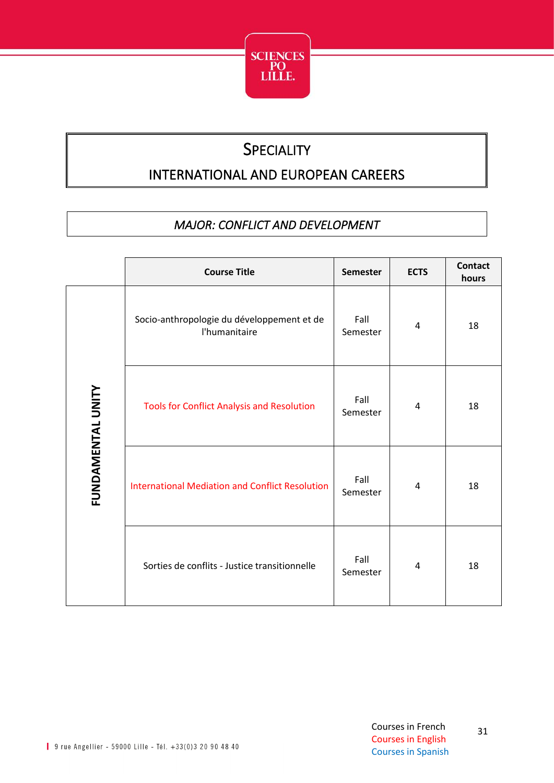

#### **SPECIALITY**

#### <span id="page-31-0"></span>INTERNATIONAL AND EUROPEAN CAREERS

#### *MAJOR: CONFLICT AND DEVELOPMENT*

<span id="page-31-1"></span>

|                          | <b>Course Title</b>                                         | <b>Semester</b>  | <b>ECTS</b> | <b>Contact</b><br>hours |
|--------------------------|-------------------------------------------------------------|------------------|-------------|-------------------------|
|                          | Socio-anthropologie du développement et de<br>l'humanitaire | Fall<br>Semester | 4           | 18                      |
| <b>FUNDAMENTAL UNITY</b> | <b>Tools for Conflict Analysis and Resolution</b>           | Fall<br>Semester | 4           | 18                      |
|                          | <b>International Mediation and Conflict Resolution</b>      | Fall<br>Semester | 4           | 18                      |
|                          | Sorties de conflits - Justice transitionnelle               | Fall<br>Semester | 4           | 18                      |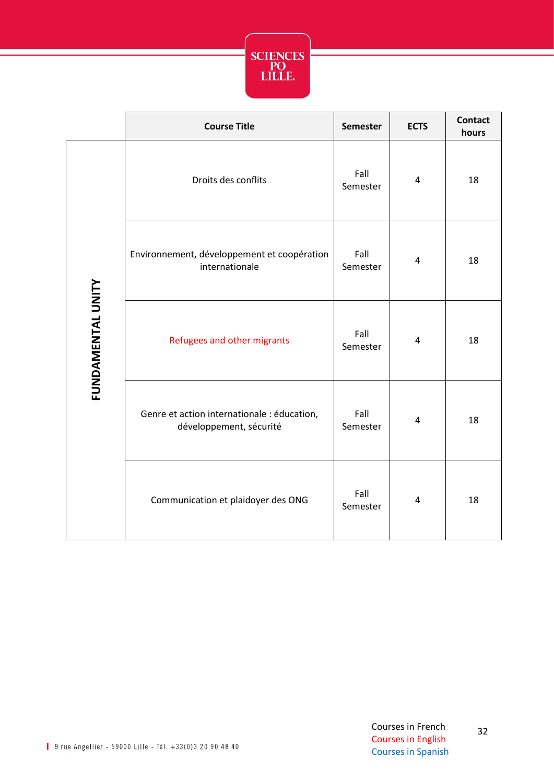

|                   | <b>Course Title</b>                                                    | <b>Semester</b>  | <b>ECTS</b>             | <b>Contact</b><br>hours |
|-------------------|------------------------------------------------------------------------|------------------|-------------------------|-------------------------|
| FUNDAMENTAL UNITY | Droits des conflits                                                    | Fall<br>Semester | 4                       | 18                      |
|                   | Environnement, développement et coopération<br>internationale          | Fall<br>Semester | $\overline{\mathbf{4}}$ | 18                      |
|                   | Refugees and other migrants                                            | Fall<br>Semester | $\overline{\mathbf{4}}$ | 18                      |
|                   | Genre et action internationale : éducation,<br>développement, sécurité | Fall<br>Semester | $\overline{\mathbf{4}}$ | 18                      |
|                   | Communication et plaidoyer des ONG                                     | Fall<br>Semester | 4                       | 18                      |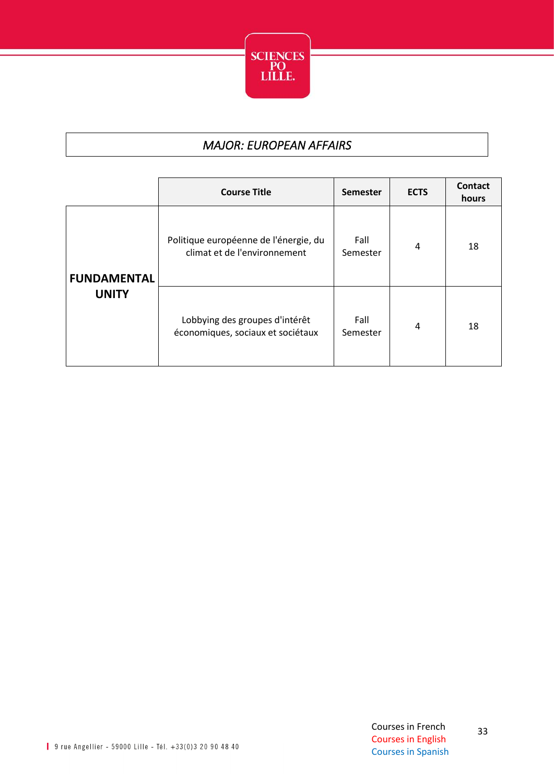

#### *MAJOR: EUROPEAN AFFAIRS*

<span id="page-33-0"></span>

|                    | <b>Course Title</b>                                                   | Semester         | <b>ECTS</b> | Contact<br>hours |
|--------------------|-----------------------------------------------------------------------|------------------|-------------|------------------|
| <b>FUNDAMENTAL</b> | Politique européenne de l'énergie, du<br>climat et de l'environnement | Fall<br>Semester | 4           | 18               |
| <b>UNITY</b>       | Lobbying des groupes d'intérêt<br>économiques, sociaux et sociétaux   | Fall<br>Semester | 4           | 18               |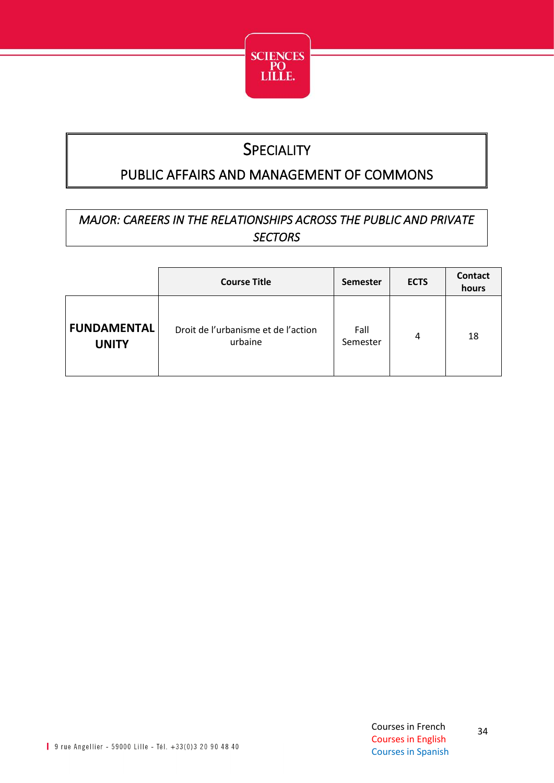

### **SPECIALITY**

#### <span id="page-34-0"></span>PUBLIC AFFAIRS AND MANAGEMENT OF COMMONS

#### <span id="page-34-1"></span>*MAJOR: CAREERS IN THE RELATIONSHIPS ACROSS THE PUBLIC AND PRIVATE SECTORS*

|                                    | <b>Course Title</b>                            | <b>Semester</b>  | <b>ECTS</b> | Contact<br>hours |
|------------------------------------|------------------------------------------------|------------------|-------------|------------------|
| <b>FUNDAMENTAL</b><br><b>UNITY</b> | Droit de l'urbanisme et de l'action<br>urbaine | Fall<br>Semester | 4           | 18               |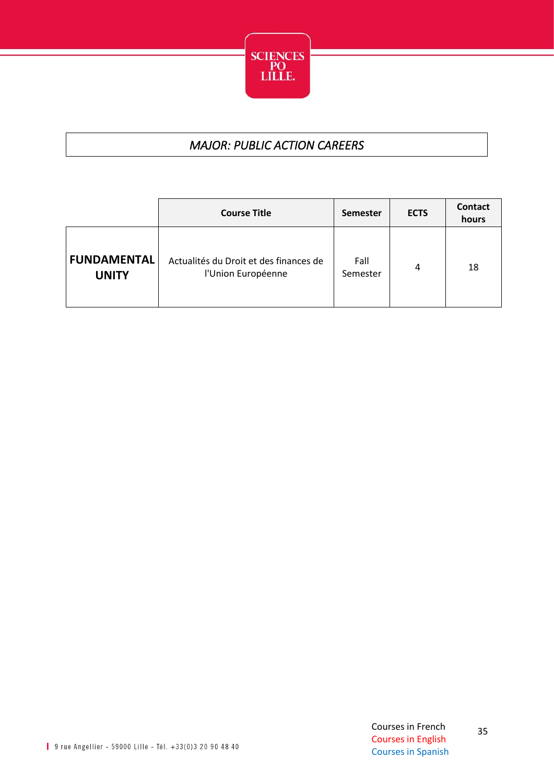

#### *MAJOR: PUBLIC ACTION CAREERS*

<span id="page-35-0"></span>

|                                    | <b>Course Title</b>                                          | <b>Semester</b>  | <b>ECTS</b> | Contact<br>hours |
|------------------------------------|--------------------------------------------------------------|------------------|-------------|------------------|
| <b>FUNDAMENTAL</b><br><b>UNITY</b> | Actualités du Droit et des finances de<br>l'Union Européenne | Fall<br>Semester | 4           | 18               |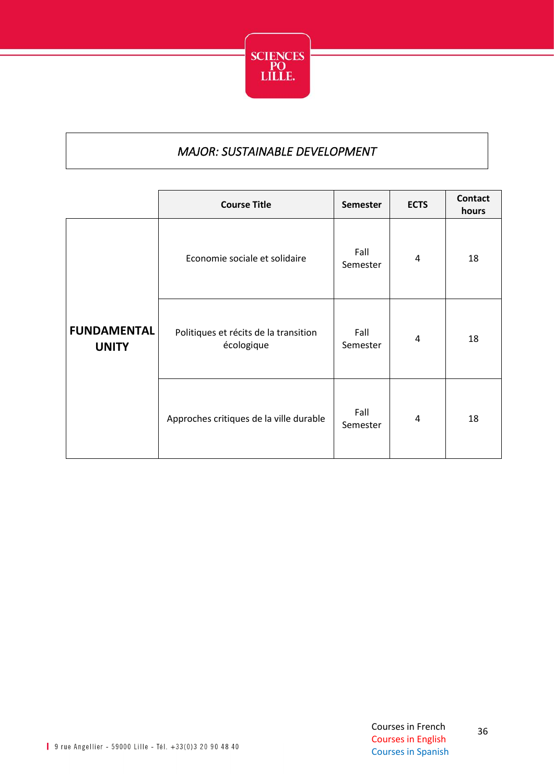

#### *MAJOR: SUSTAINABLE DEVELOPMENT*

<span id="page-36-0"></span>

|                                    | <b>Course Title</b>                                 | <b>Semester</b>  | <b>ECTS</b> | <b>Contact</b><br>hours |
|------------------------------------|-----------------------------------------------------|------------------|-------------|-------------------------|
|                                    | Economie sociale et solidaire                       | Fall<br>Semester | 4           | 18                      |
| <b>FUNDAMENTAL</b><br><b>UNITY</b> | Politiques et récits de la transition<br>écologique | Fall<br>Semester | 4           | 18                      |
|                                    | Approches critiques de la ville durable             | Fall<br>Semester | 4           | 18                      |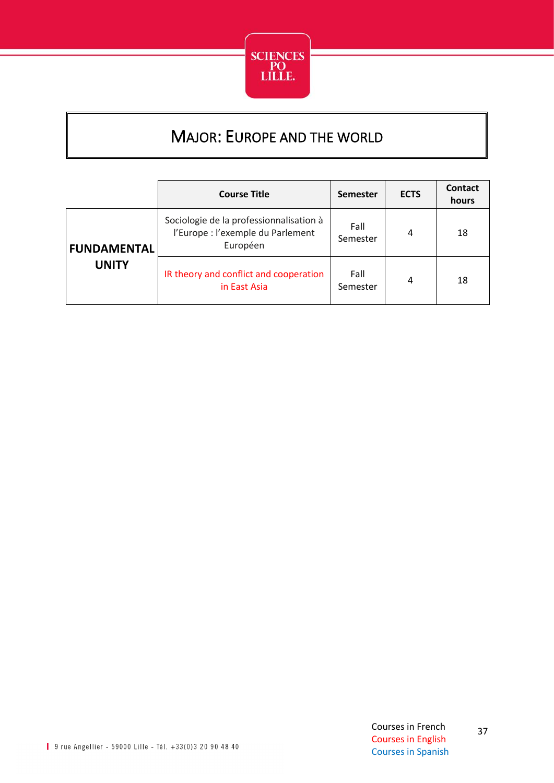

## MAJOR: EUROPE AND THE WORLD

<span id="page-37-0"></span>

|                    | <b>Course Title</b>                                                                      | <b>Semester</b>  | <b>ECTS</b> | <b>Contact</b><br>hours |
|--------------------|------------------------------------------------------------------------------------------|------------------|-------------|-------------------------|
| <b>FUNDAMENTAL</b> | Sociologie de la professionnalisation à<br>l'Europe : l'exemple du Parlement<br>Européen | Fall<br>Semester | 4           | 18                      |
| <b>UNITY</b>       | IR theory and conflict and cooperation<br>in East Asia                                   | Fall<br>Semester | 4           | 18                      |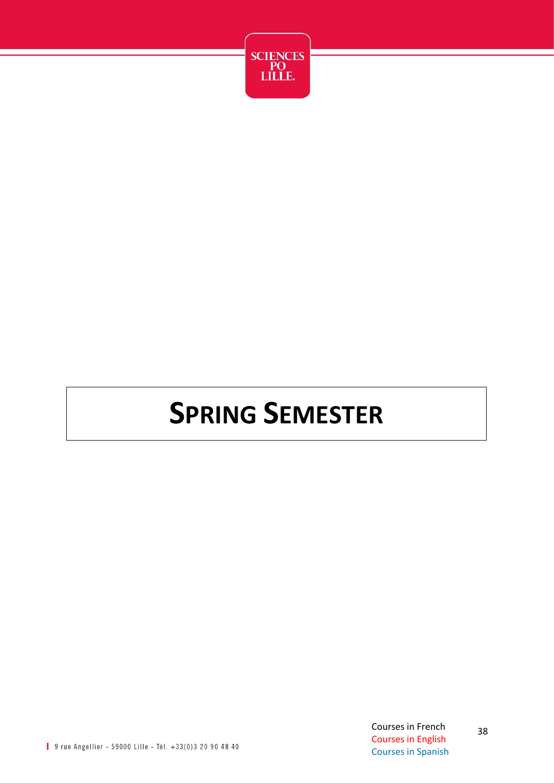

# **SPRING SEMESTER**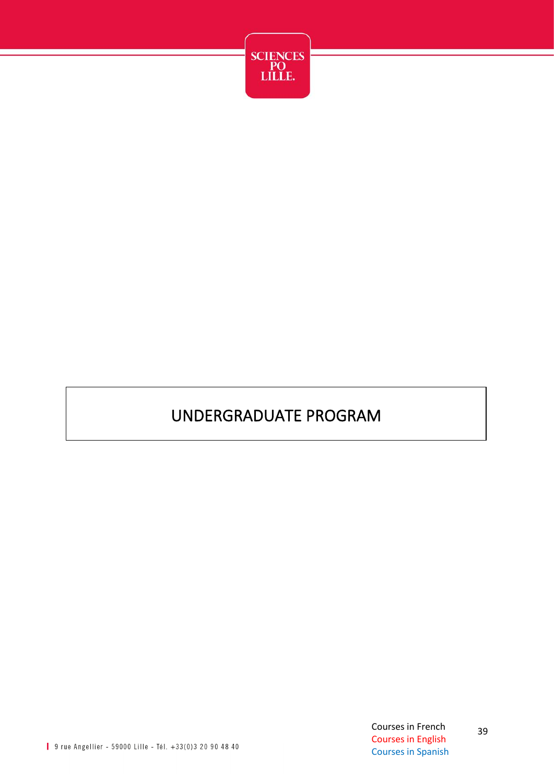

## UNDERGRADUATE PROGRAM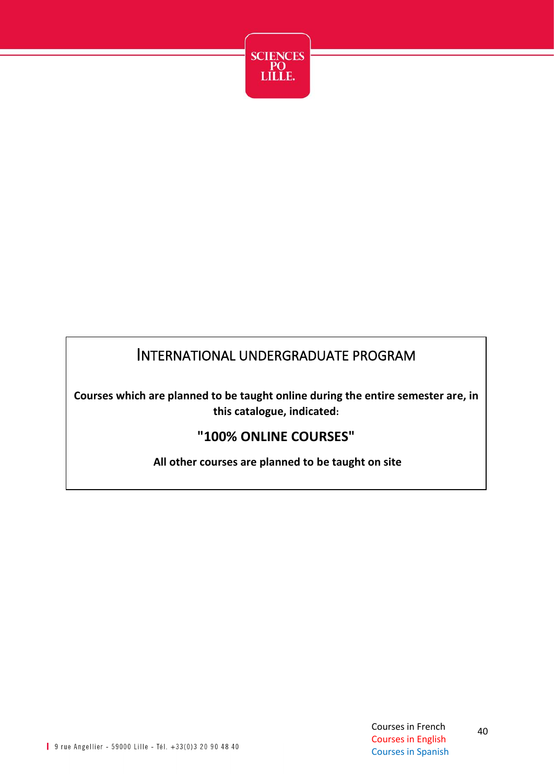

#### INTERNATIONAL UNDERGRADUATE PROGRAM

**Courses which are planned to be taught online during the entire semester are, in this catalogue, indicated:**

#### **"100% ONLINE COURSES"**

**All other courses are planned to be taught on site**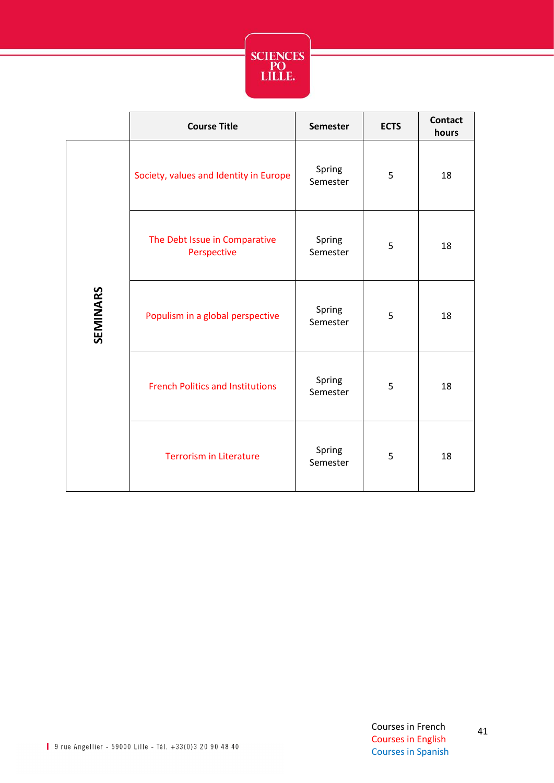

|          | <b>Course Title</b>                          | <b>Semester</b>    | <b>ECTS</b> | <b>Contact</b><br>hours |
|----------|----------------------------------------------|--------------------|-------------|-------------------------|
| SEMINARS | Society, values and Identity in Europe       | Spring<br>Semester | 5           | 18                      |
|          | The Debt Issue in Comparative<br>Perspective | Spring<br>Semester | 5           | 18                      |
|          | Populism in a global perspective             | Spring<br>Semester | 5           | 18                      |
|          | <b>French Politics and Institutions</b>      | Spring<br>Semester | 5           | 18                      |
|          | <b>Terrorism in Literature</b>               | Spring<br>Semester | 5           | 18                      |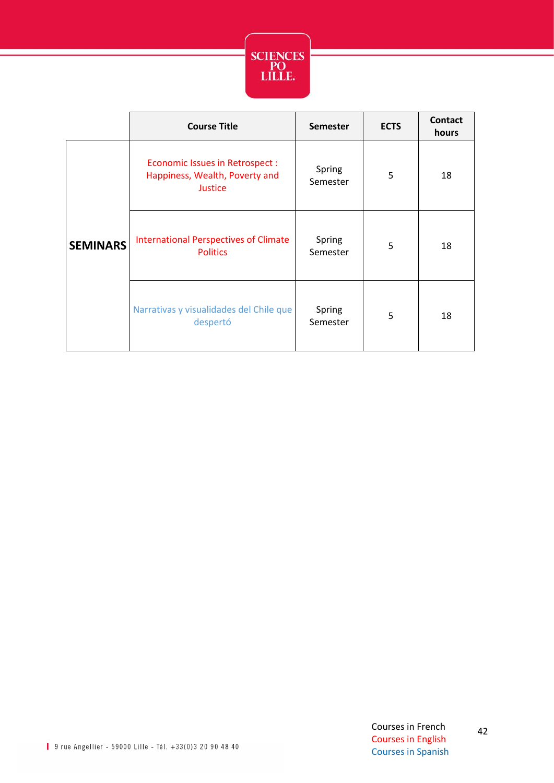

|                 | <b>Course Title</b>                                                                | <b>Semester</b>    | <b>ECTS</b> | <b>Contact</b><br>hours |
|-----------------|------------------------------------------------------------------------------------|--------------------|-------------|-------------------------|
| <b>SEMINARS</b> | <b>Economic Issues in Retrospect:</b><br>Happiness, Wealth, Poverty and<br>Justice | Spring<br>Semester | 5           | 18                      |
|                 | <b>International Perspectives of Climate</b><br><b>Politics</b>                    | Spring<br>Semester | 5           | 18                      |
|                 | Narrativas y visualidades del Chile que<br>despertó                                | Spring<br>Semester | 5           | 18                      |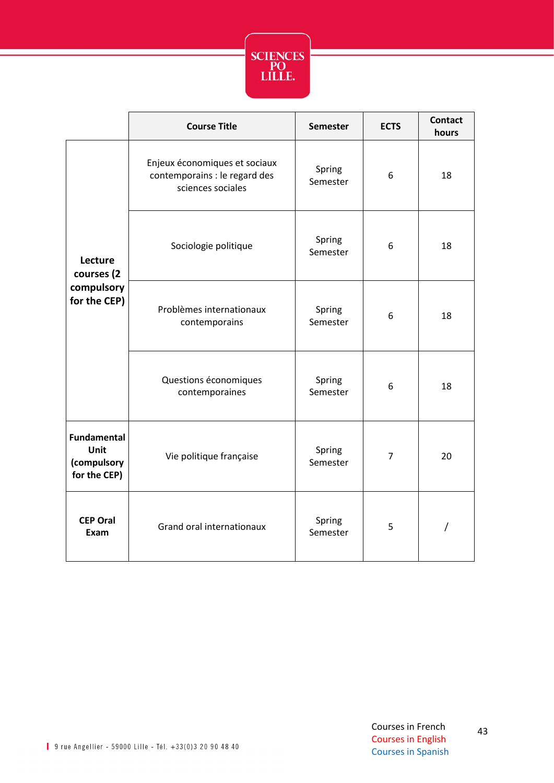

|                                                           | <b>Course Title</b>                                                                 | <b>Semester</b>    | <b>ECTS</b>    | <b>Contact</b><br>hours |
|-----------------------------------------------------------|-------------------------------------------------------------------------------------|--------------------|----------------|-------------------------|
| Lecture<br>courses (2<br>compulsory<br>for the CEP)       | Enjeux économiques et sociaux<br>contemporains : le regard des<br>sciences sociales | Spring<br>Semester | 6              | 18                      |
|                                                           | Sociologie politique                                                                | Spring<br>Semester | 6              | 18                      |
|                                                           | Problèmes internationaux<br>contemporains                                           | Spring<br>Semester | 6              | 18                      |
|                                                           | Questions économiques<br>contemporaines                                             | Spring<br>Semester | 6              | 18                      |
| <b>Fundamental</b><br>Unit<br>(compulsory<br>for the CEP) | Vie politique française                                                             | Spring<br>Semester | $\overline{7}$ | 20                      |
| <b>CEP Oral</b><br>Exam                                   | Grand oral internationaux                                                           | Spring<br>Semester | 5              |                         |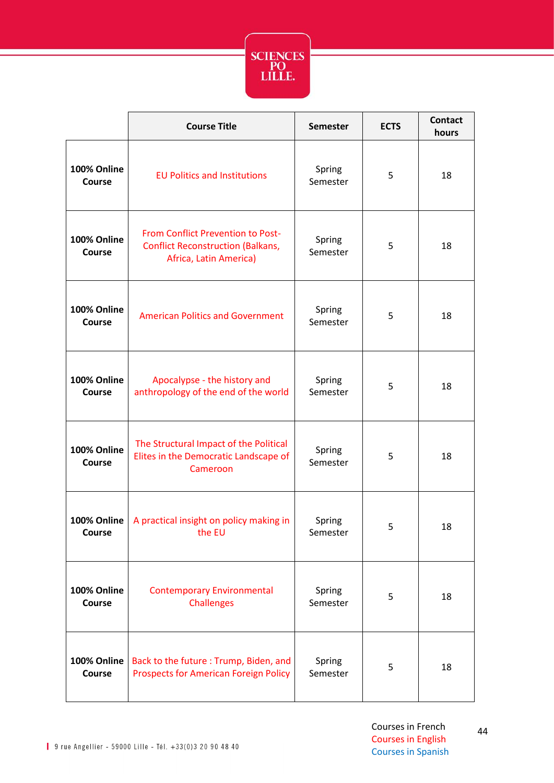

|                              | <b>Course Title</b>                                                                                            | <b>Semester</b>    | <b>ECTS</b> | <b>Contact</b><br>hours |
|------------------------------|----------------------------------------------------------------------------------------------------------------|--------------------|-------------|-------------------------|
| 100% Online<br><b>Course</b> | <b>EU Politics and Institutions</b>                                                                            | Spring<br>Semester | 5           | 18                      |
| 100% Online<br>Course        | <b>From Conflict Prevention to Post-</b><br><b>Conflict Reconstruction (Balkans,</b><br>Africa, Latin America) | Spring<br>Semester | 5           | 18                      |
| 100% Online<br><b>Course</b> | <b>American Politics and Government</b>                                                                        | Spring<br>Semester | 5           | 18                      |
| 100% Online<br>Course        | Apocalypse - the history and<br>anthropology of the end of the world                                           | Spring<br>Semester | 5           | 18                      |
| 100% Online<br>Course        | The Structural Impact of the Political<br>Elites in the Democratic Landscape of<br>Cameroon                    | Spring<br>Semester | 5           | 18                      |
| 100% Online<br><b>Course</b> | A practical insight on policy making in<br>the EU                                                              | Spring<br>Semester | 5           | 18                      |
| 100% Online<br><b>Course</b> | <b>Contemporary Environmental</b><br><b>Challenges</b>                                                         | Spring<br>Semester | 5           | 18                      |
| 100% Online<br>Course        | Back to the future: Trump, Biden, and<br><b>Prospects for American Foreign Policy</b>                          | Spring<br>Semester | 5           | 18                      |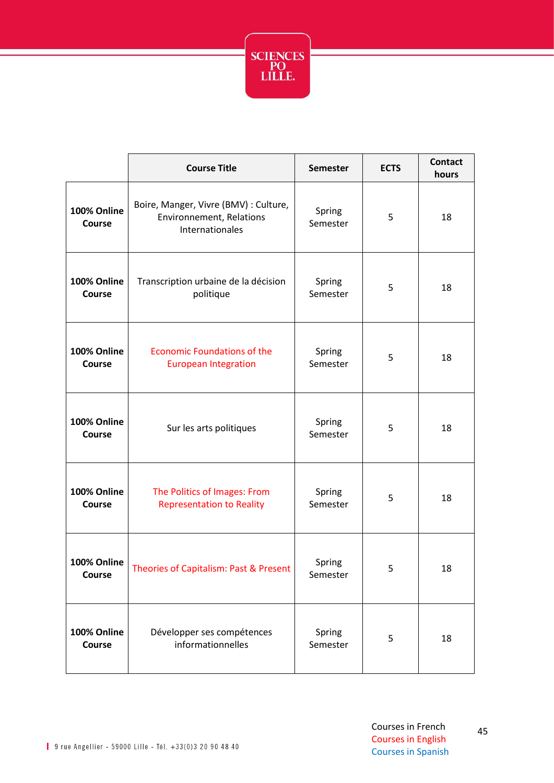

|                              | <b>Course Title</b>                                                                         | <b>Semester</b>    | <b>ECTS</b> | <b>Contact</b><br>hours |
|------------------------------|---------------------------------------------------------------------------------------------|--------------------|-------------|-------------------------|
| 100% Online<br><b>Course</b> | Boire, Manger, Vivre (BMV) : Culture,<br><b>Environnement, Relations</b><br>Internationales | Spring<br>Semester | 5           | 18                      |
| 100% Online<br>Course        | Transcription urbaine de la décision<br>politique                                           | Spring<br>Semester | 5           | 18                      |
| 100% Online<br><b>Course</b> | <b>Economic Foundations of the</b><br><b>European Integration</b>                           | Spring<br>Semester | 5           | 18                      |
| 100% Online<br><b>Course</b> | Sur les arts politiques                                                                     | Spring<br>Semester | 5           | 18                      |
| 100% Online<br><b>Course</b> | The Politics of Images: From<br><b>Representation to Reality</b>                            | Spring<br>Semester | 5           | 18                      |
| 100% Online<br><b>Course</b> | Theories of Capitalism: Past & Present                                                      | Spring<br>Semester | 5           | 18                      |
| 100% Online<br><b>Course</b> | Développer ses compétences<br>informationnelles                                             | Spring<br>Semester | 5           | 18                      |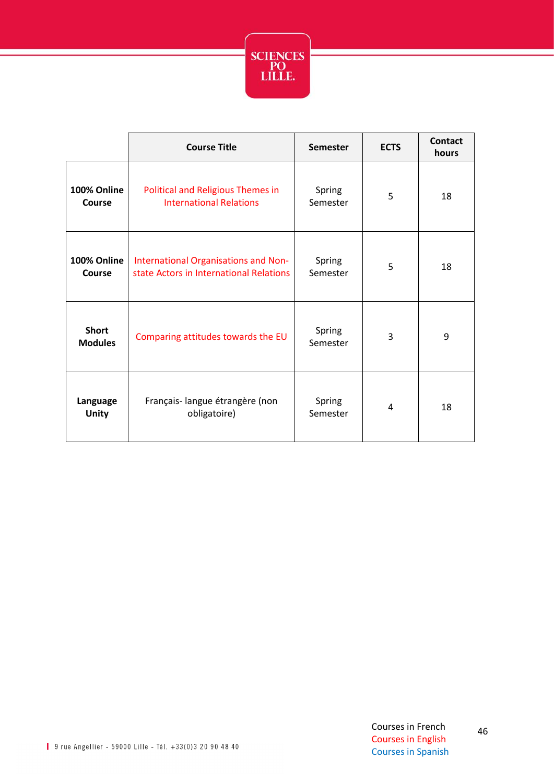

|                                | <b>Course Title</b>                                                             | <b>Semester</b>    | <b>ECTS</b> | Contact<br>hours |
|--------------------------------|---------------------------------------------------------------------------------|--------------------|-------------|------------------|
| 100% Online<br>Course          | <b>Political and Religious Themes in</b><br><b>International Relations</b>      | Spring<br>Semester | 5           | 18               |
| 100% Online<br>Course          | International Organisations and Non-<br>state Actors in International Relations | Spring<br>Semester | 5           | 18               |
| <b>Short</b><br><b>Modules</b> | Comparing attitudes towards the EU                                              | Spring<br>Semester | 3           | 9                |
| Language<br><b>Unity</b>       | Français- langue étrangère (non<br>obligatoire)                                 | Spring<br>Semester | 4           | 18               |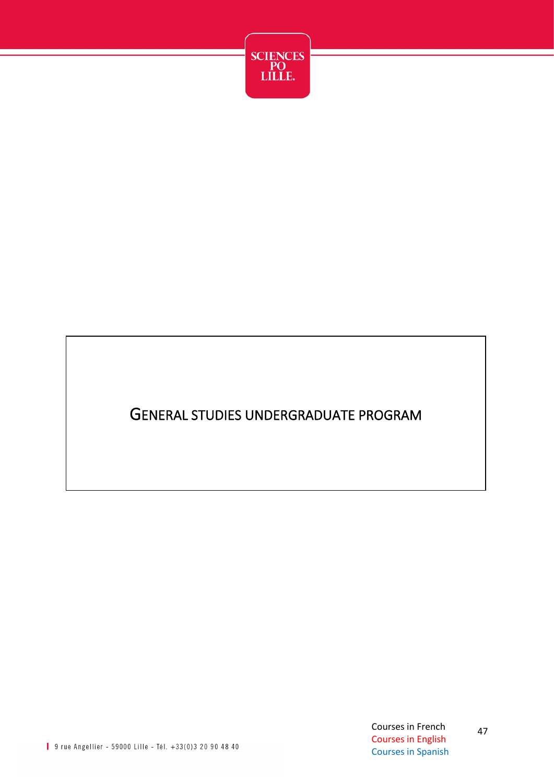

#### GENERAL STUDIES UNDERGRADUATE PROGRAM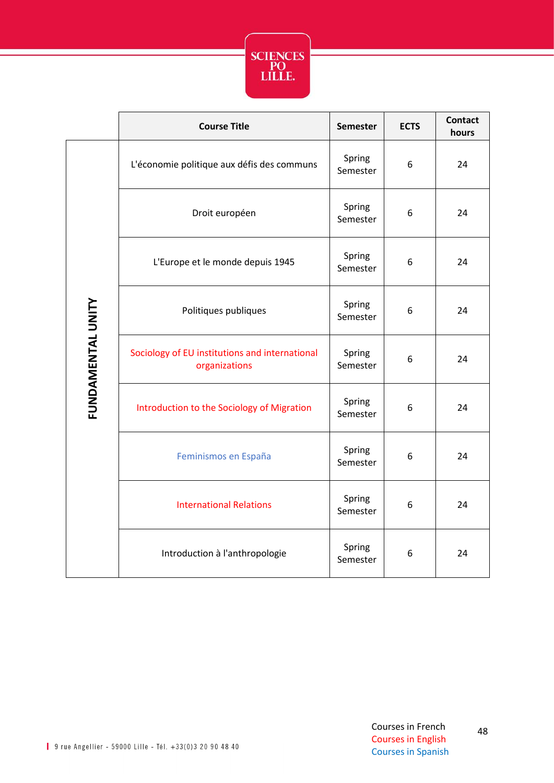

|                   | <b>Course Title</b>                                             | <b>Semester</b>    | <b>ECTS</b> | <b>Contact</b><br>hours |
|-------------------|-----------------------------------------------------------------|--------------------|-------------|-------------------------|
|                   | L'économie politique aux défis des communs                      | Spring<br>Semester | 6           | 24                      |
|                   | Droit européen                                                  | Spring<br>Semester | 6           | 24                      |
|                   | L'Europe et le monde depuis 1945                                | Spring<br>Semester | 6           | 24                      |
|                   | Politiques publiques                                            | Spring<br>Semester | 6           | 24                      |
| FUNDAMENTAL UNITY | Sociology of EU institutions and international<br>organizations | Spring<br>Semester | 6           | 24                      |
|                   | Introduction to the Sociology of Migration                      | Spring<br>Semester | 6           | 24                      |
|                   | Feminismos en España                                            | Spring<br>Semester | 6           | 24                      |
|                   | <b>International Relations</b>                                  | Spring<br>Semester | 6           | 24                      |
|                   | Introduction à l'anthropologie                                  | Spring<br>Semester | 6           | 24                      |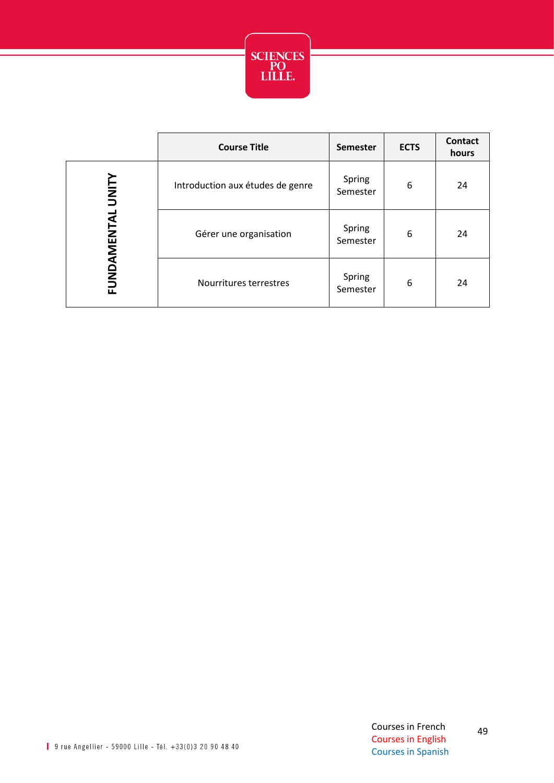

|             | <b>Course Title</b>              | <b>Semester</b>    | <b>ECTS</b> | <b>Contact</b><br>hours |
|-------------|----------------------------------|--------------------|-------------|-------------------------|
| VIINITY     | Introduction aux études de genre | Spring<br>Semester | 6           | 24                      |
| FUNDAMENTAL | Gérer une organisation           | Spring<br>Semester | 6           | 24                      |
|             | Nourritures terrestres           | Spring<br>Semester | 6           | 24                      |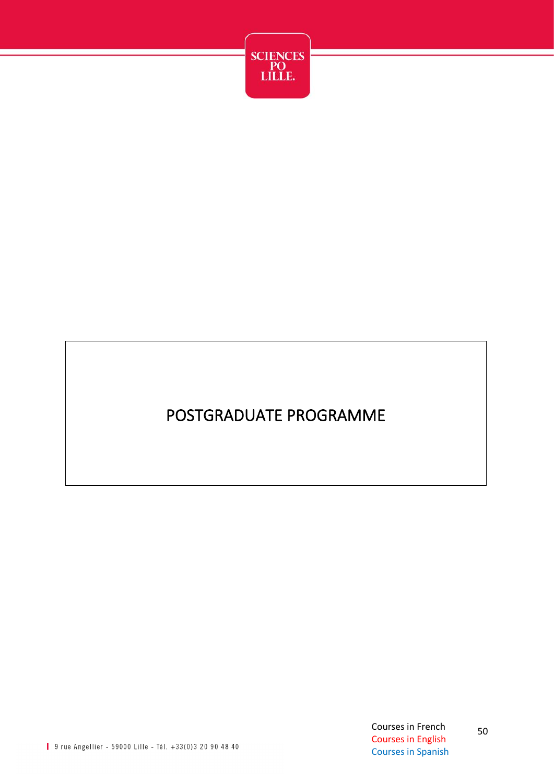

## POSTGRADUATE PROGRAMME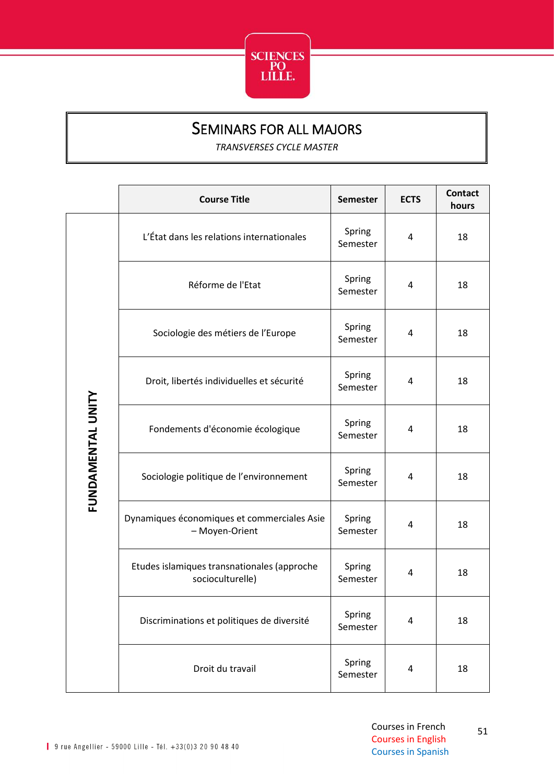

#### SEMINARS FOR ALL MAJORS

*TRANSVERSES CYCLE MASTER*

<span id="page-51-0"></span>

|                   | <b>Course Title</b>                                             | <b>Semester</b>    | <b>ECTS</b> | <b>Contact</b><br>hours |
|-------------------|-----------------------------------------------------------------|--------------------|-------------|-------------------------|
|                   | L'État dans les relations internationales                       | Spring<br>Semester | 4           | 18                      |
|                   | Réforme de l'Etat                                               | Spring<br>Semester | 4           | 18                      |
|                   | Sociologie des métiers de l'Europe                              | Spring<br>Semester | 4           | 18                      |
|                   | Droit, libertés individuelles et sécurité                       | Spring<br>Semester | 4           | 18                      |
| FUNDAMENTAL UNITY | Fondements d'économie écologique                                | Spring<br>Semester | 4           | 18                      |
|                   | Sociologie politique de l'environnement                         | Spring<br>Semester | 4           | 18                      |
|                   | Dynamiques économiques et commerciales Asie<br>- Moyen-Orient   | Spring<br>Semester | 4           | 18                      |
|                   | Etudes islamiques transnationales (approche<br>socioculturelle) | Spring<br>Semester | 4           | 18                      |
|                   | Discriminations et politiques de diversité                      | Spring<br>Semester | 4           | 18                      |
|                   | Droit du travail                                                | Spring<br>Semester | 4           | 18                      |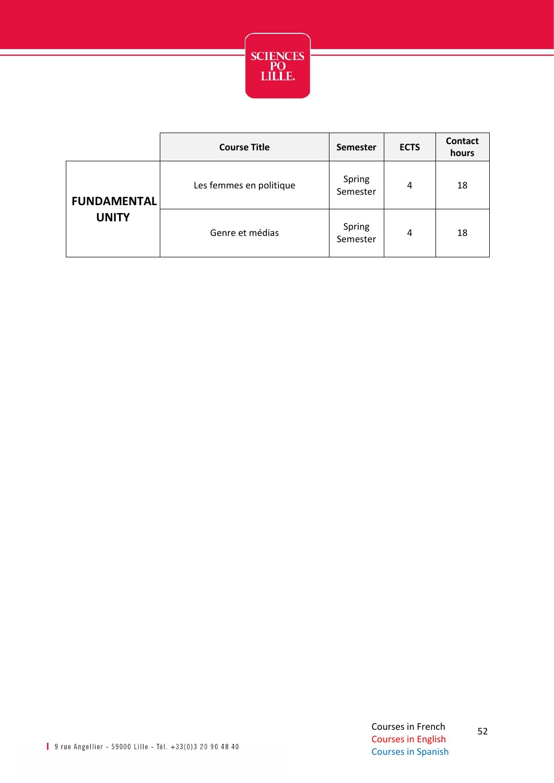

|                                    | <b>Course Title</b>     | <b>Semester</b>    | <b>ECTS</b> | <b>Contact</b><br>hours |
|------------------------------------|-------------------------|--------------------|-------------|-------------------------|
| <b>FUNDAMENTAL</b><br><b>UNITY</b> | Les femmes en politique | Spring<br>Semester | 4           | 18                      |
|                                    | Genre et médias         | Spring<br>Semester | 4           | 18                      |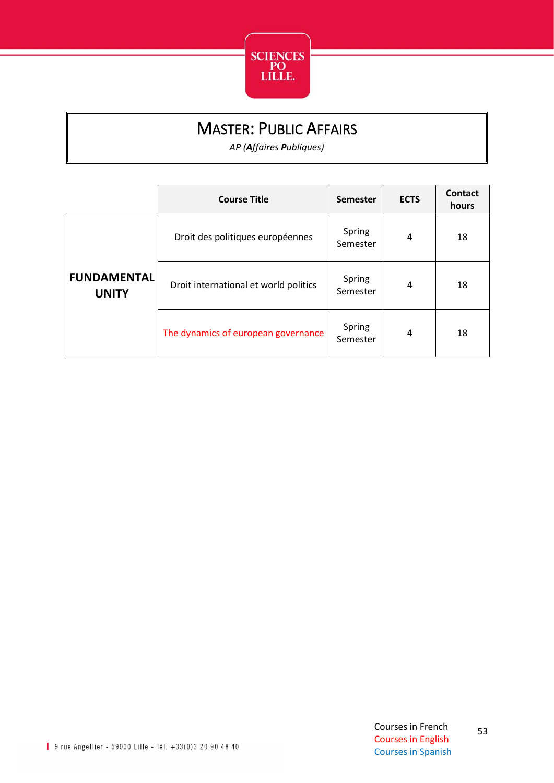

### MASTER: PUBLIC AFFAIRS

*AP (Affaires Publiques)*

<span id="page-53-0"></span>

|                                    | <b>Course Title</b>                   | <b>Semester</b>    | <b>ECTS</b> | Contact<br>hours |
|------------------------------------|---------------------------------------|--------------------|-------------|------------------|
|                                    | Droit des politiques européennes      | Spring<br>Semester | 4           | 18               |
| <b>FUNDAMENTAL</b><br><b>UNITY</b> | Droit international et world politics | Spring<br>Semester | 4           | 18               |
|                                    | The dynamics of european governance   | Spring<br>Semester | 4           | 18               |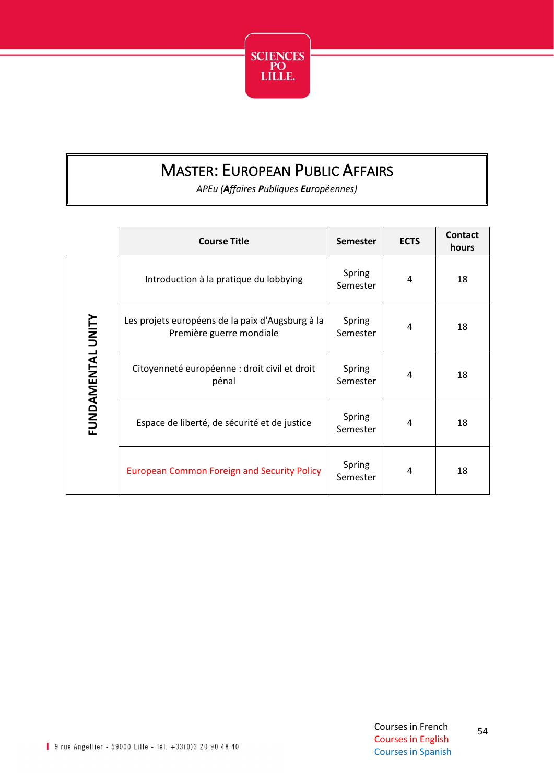

## MASTER: EUROPEAN PUBLIC AFFAIRS

*APEu (Affaires Publiques Européennes)*

<span id="page-54-0"></span>

|                   | <b>Course Title</b>                                                          | <b>Semester</b>    | <b>ECTS</b> | Contact<br>hours |
|-------------------|------------------------------------------------------------------------------|--------------------|-------------|------------------|
|                   | Introduction à la pratique du lobbying                                       | Spring<br>Semester | 4           | 18               |
|                   | Les projets européens de la paix d'Augsburg à la<br>Première guerre mondiale | Spring<br>Semester | 4           | 18               |
| FUNDAMENTAL UNITY | Citoyenneté européenne : droit civil et droit<br>pénal                       | Spring<br>Semester | 4           | 18               |
|                   | Espace de liberté, de sécurité et de justice                                 | Spring<br>Semester | 4           | 18               |
|                   | <b>European Common Foreign and Security Policy</b>                           | Spring<br>Semester | 4           | 18               |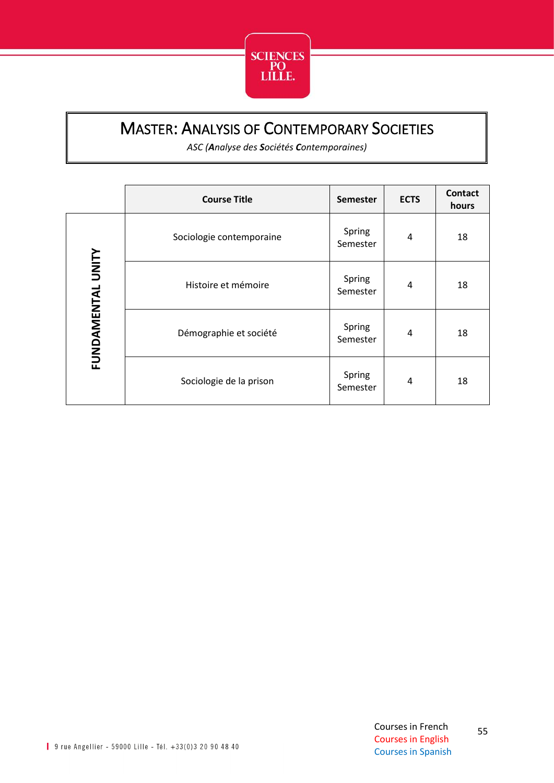

#### <span id="page-55-0"></span>MASTER: ANALYSIS OF CONTEMPORARY SOCIETIES

*ASC (Analyse des Sociétés Contemporaines)*

|                   | <b>Course Title</b>      | <b>Semester</b>    | <b>ECTS</b> | <b>Contact</b><br>hours |
|-------------------|--------------------------|--------------------|-------------|-------------------------|
|                   | Sociologie contemporaine | Spring<br>Semester | 4           | 18                      |
| FUNDAMENTAL UNITY | Histoire et mémoire      | Spring<br>Semester | 4           | 18                      |
|                   | Démographie et société   | Spring<br>Semester | 4           | 18                      |
|                   | Sociologie de la prison  | Spring<br>Semester | 4           | 18                      |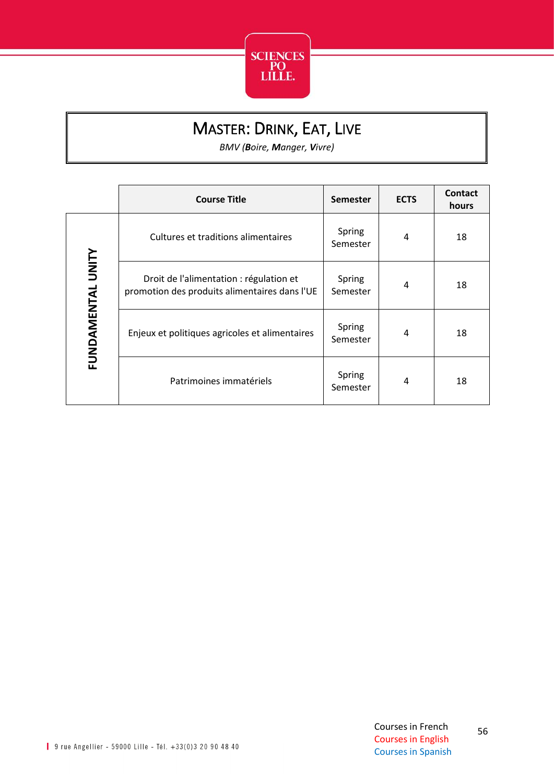

## MASTER: DRINK, EAT, LIVE

*BMV (Boire, Manger, Vivre)*

<span id="page-56-0"></span>

|                   | <b>Course Title</b>                                                                      | <b>Semester</b>    | <b>ECTS</b> | Contact<br>hours |
|-------------------|------------------------------------------------------------------------------------------|--------------------|-------------|------------------|
|                   | Cultures et traditions alimentaires                                                      | Spring<br>Semester | 4           | 18               |
| FUNDAMENTAL UNITY | Droit de l'alimentation : régulation et<br>promotion des produits alimentaires dans l'UE | Spring<br>Semester | 4           | 18               |
|                   | Enjeux et politiques agricoles et alimentaires                                           | Spring<br>Semester | 4           | 18               |
|                   | Patrimoines immatériels                                                                  | Spring<br>Semester | 4           | 18               |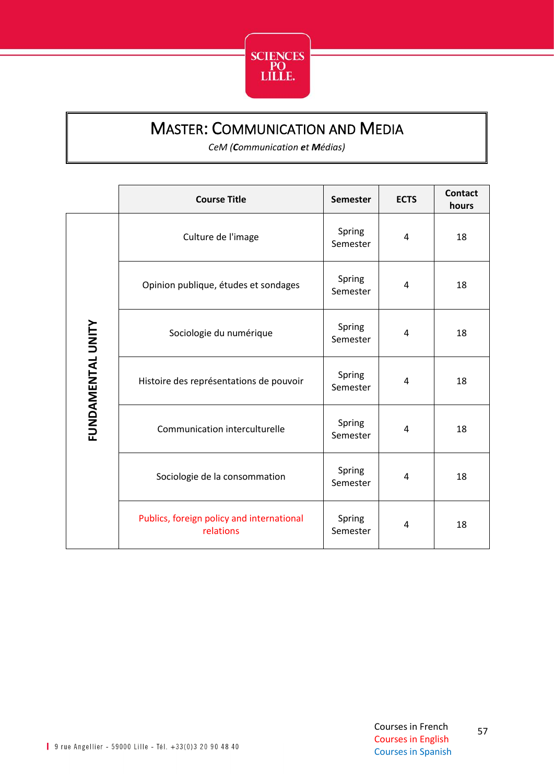

#### MASTER: COMMUNICATION AND MEDIA

*CeM (Communication et Médias)*

<span id="page-57-0"></span>

|                   | <b>Course Title</b>                                    | <b>Semester</b>    | <b>ECTS</b> | <b>Contact</b><br>hours |
|-------------------|--------------------------------------------------------|--------------------|-------------|-------------------------|
|                   | Culture de l'image                                     | Spring<br>Semester | 4           | 18                      |
|                   | Opinion publique, études et sondages                   | Spring<br>Semester | 4           | 18                      |
|                   | Sociologie du numérique                                | Spring<br>Semester | 4           | 18                      |
| FUNDAMENTAL UNITY | Histoire des représentations de pouvoir                | Spring<br>Semester | 4           | 18                      |
|                   | Communication interculturelle                          | Spring<br>Semester | 4           | 18                      |
|                   | Sociologie de la consommation                          | Spring<br>Semester | 4           | 18                      |
|                   | Publics, foreign policy and international<br>relations | Spring<br>Semester | 4           | 18                      |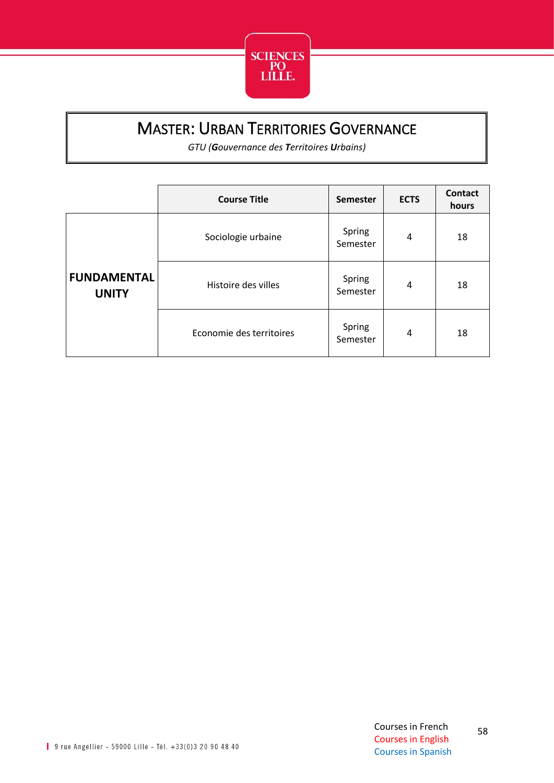

## MASTER: URBAN TERRITORIES GOVERNANCE

*GTU (Gouvernance des Territoires Urbains)*

<span id="page-58-0"></span>

|                                    | <b>Course Title</b>      | <b>Semester</b>    | <b>ECTS</b> | <b>Contact</b><br>hours |
|------------------------------------|--------------------------|--------------------|-------------|-------------------------|
|                                    | Sociologie urbaine       | Spring<br>Semester | 4           | 18                      |
| <b>FUNDAMENTAL</b><br><b>UNITY</b> | Histoire des villes      | Spring<br>Semester | 4           | 18                      |
|                                    | Economie des territoires | Spring<br>Semester | 4           | 18                      |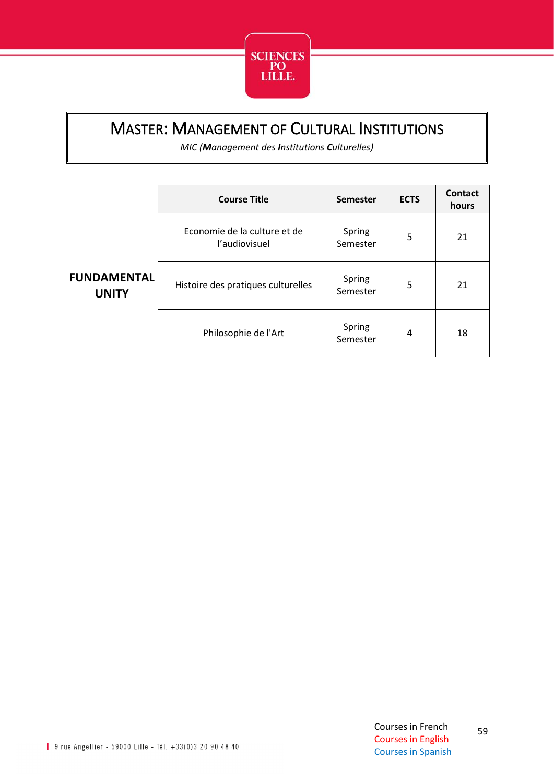

### <span id="page-59-0"></span>MASTER: MANAGEMENT OF CULTURAL INSTITUTIONS

*MIC (Management des Institutions Culturelles)*

|                                    | <b>Course Title</b>                           | <b>Semester</b>    | <b>ECTS</b> | <b>Contact</b><br>hours |
|------------------------------------|-----------------------------------------------|--------------------|-------------|-------------------------|
|                                    | Economie de la culture et de<br>l'audiovisuel | Spring<br>Semester | 5           | 21                      |
| <b>FUNDAMENTAL</b><br><b>UNITY</b> | Histoire des pratiques culturelles            | Spring<br>Semester | 5           | 21                      |
|                                    | Philosophie de l'Art                          | Spring<br>Semester | 4           | 18                      |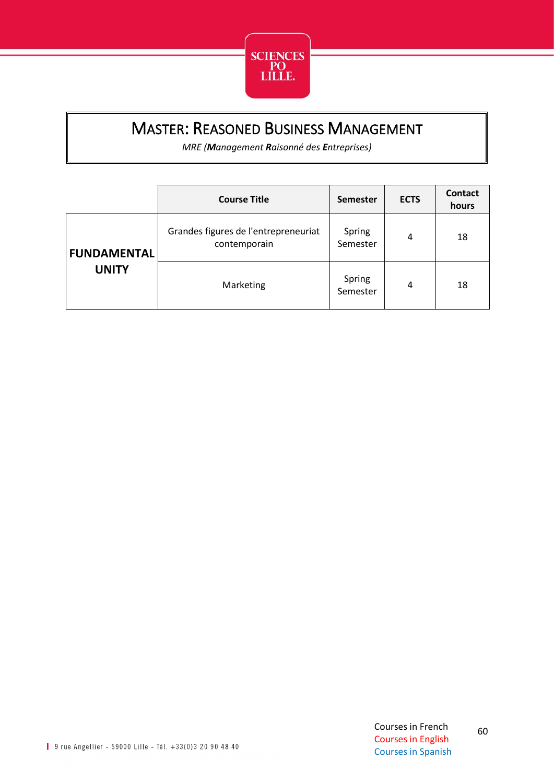

## <span id="page-60-0"></span>MASTER: REASONED BUSINESS MANAGEMENT

*MRE (Management Raisonné des Entreprises)*

|                    | <b>Course Title</b>                                  | <b>Semester</b>    | <b>ECTS</b> | Contact<br>hours |
|--------------------|------------------------------------------------------|--------------------|-------------|------------------|
| <b>FUNDAMENTAL</b> | Grandes figures de l'entrepreneuriat<br>contemporain | Spring<br>Semester | 4           | 18               |
| <b>UNITY</b>       | Marketing                                            | Spring<br>Semester | 4           | 18               |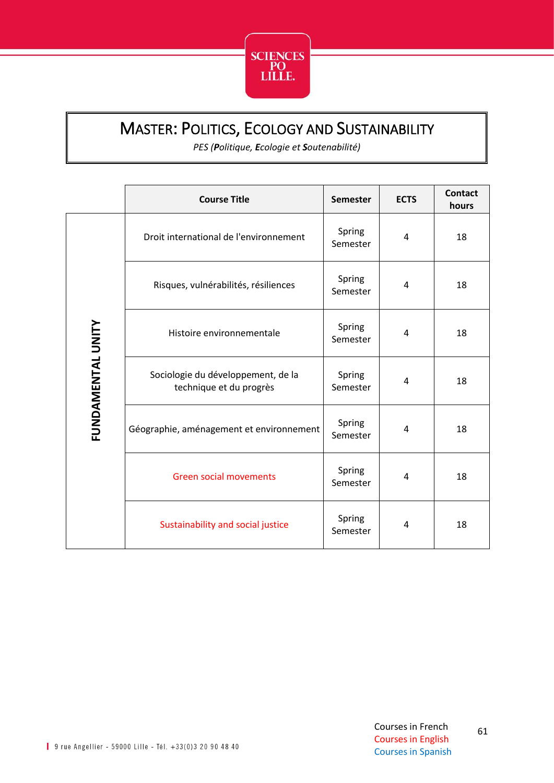

### <span id="page-61-0"></span>MASTER: POLITICS, ECOLOGY AND SUSTAINABILITY

*PES (Politique, Ecologie et Soutenabilité)*

|                   | <b>Course Title</b>                                           | <b>Semester</b>    | <b>ECTS</b> | <b>Contact</b><br>hours |
|-------------------|---------------------------------------------------------------|--------------------|-------------|-------------------------|
| FUNDAMENTAL UNITY | Droit international de l'environnement                        | Spring<br>Semester | 4           | 18                      |
|                   | Risques, vulnérabilités, résiliences                          | Spring<br>Semester | 4           | 18                      |
|                   | Histoire environnementale                                     | Spring<br>Semester | 4           | 18                      |
|                   | Sociologie du développement, de la<br>technique et du progrès | Spring<br>Semester | 4           | 18                      |
|                   | Géographie, aménagement et environnement                      | Spring<br>Semester | 4           | 18                      |
|                   | <b>Green social movements</b>                                 | Spring<br>Semester | 4           | 18                      |
|                   | Sustainability and social justice                             | Spring<br>Semester | 4           | 18                      |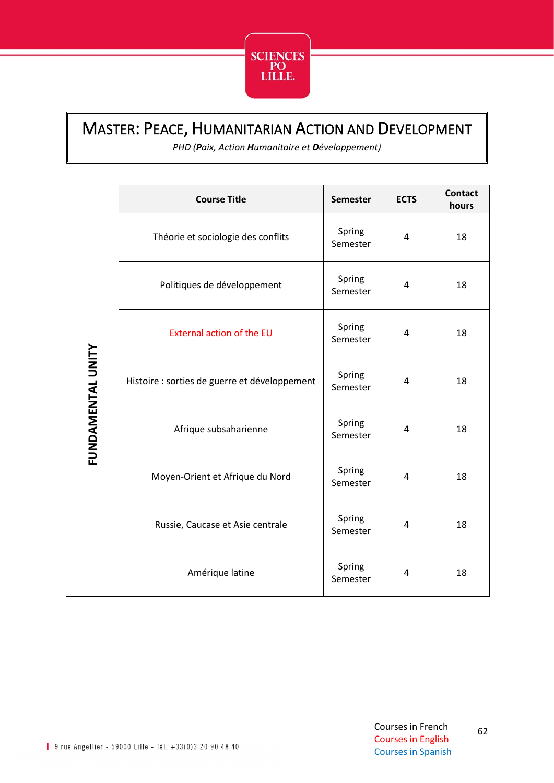

#### <span id="page-62-0"></span>MASTER: PEACE, HUMANITARIAN ACTION AND DEVELOPMENT

*PHD (Paix, Action Humanitaire et Développement)*

|                   | <b>Course Title</b>                           | <b>Semester</b>    | <b>ECTS</b> | <b>Contact</b><br>hours |
|-------------------|-----------------------------------------------|--------------------|-------------|-------------------------|
| FUNDAMENTAL UNITY | Théorie et sociologie des conflits            | Spring<br>Semester | 4           | 18                      |
|                   | Politiques de développement                   | Spring<br>Semester | 4           | 18                      |
|                   | <b>External action of the EU</b>              | Spring<br>Semester | 4           | 18                      |
|                   | Histoire : sorties de guerre et développement | Spring<br>Semester | 4           | 18                      |
|                   | Afrique subsaharienne                         | Spring<br>Semester | 4           | 18                      |
|                   | Moyen-Orient et Afrique du Nord               | Spring<br>Semester | 4           | 18                      |
|                   | Russie, Caucase et Asie centrale              | Spring<br>Semester | 4           | 18                      |
|                   | Amérique latine                               | Spring<br>Semester | 4           | 18                      |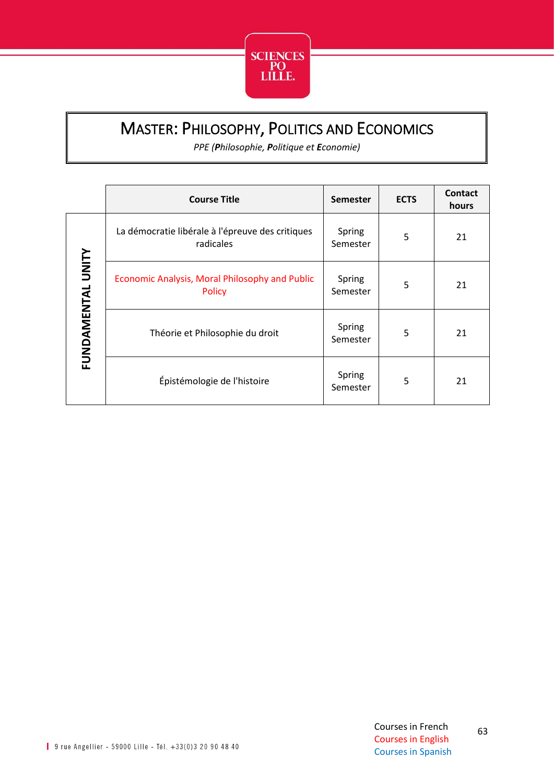

### <span id="page-63-0"></span>MASTER: PHILOSOPHY, POLITICS AND ECONOMICS

*PPE (Philosophie, Politique et Economie)*

|                   | <b>Course Title</b>                                             | <b>Semester</b>    | <b>ECTS</b> | Contact<br>hours |
|-------------------|-----------------------------------------------------------------|--------------------|-------------|------------------|
| FUNDAMENTAL UNITY | La démocratie libérale à l'épreuve des critiques<br>radicales   | Spring<br>Semester | 5           | 21               |
|                   | Economic Analysis, Moral Philosophy and Public<br><b>Policy</b> | Spring<br>Semester | 5           | 21               |
|                   | Théorie et Philosophie du droit                                 | Spring<br>Semester | 5           | 21               |
|                   | Épistémologie de l'histoire                                     | Spring<br>Semester | 5           | 21               |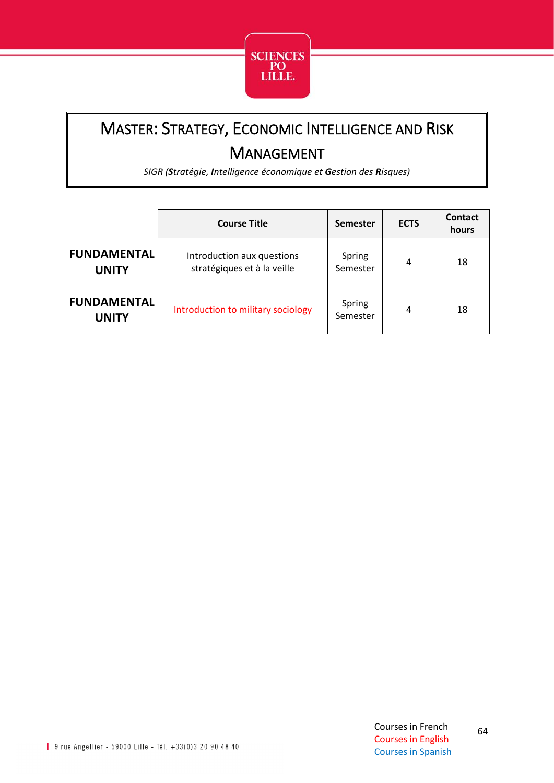

# <span id="page-64-0"></span>MASTER: STRATEGY, ECONOMIC INTELLIGENCE AND RISK MANAGEMENT

*SIGR (Stratégie, Intelligence économique et Gestion des Risques)*

|                                    | <b>Course Title</b>                                       | <b>Semester</b>    | <b>ECTS</b> | Contact<br>hours |
|------------------------------------|-----------------------------------------------------------|--------------------|-------------|------------------|
| <b>FUNDAMENTAL</b><br><b>UNITY</b> | Introduction aux questions<br>stratégiques et à la veille | Spring<br>Semester | 4           | 18               |
| <b>FUNDAMENTAL</b><br><b>UNITY</b> | Introduction to military sociology                        | Spring<br>Semester | 4           | 18               |